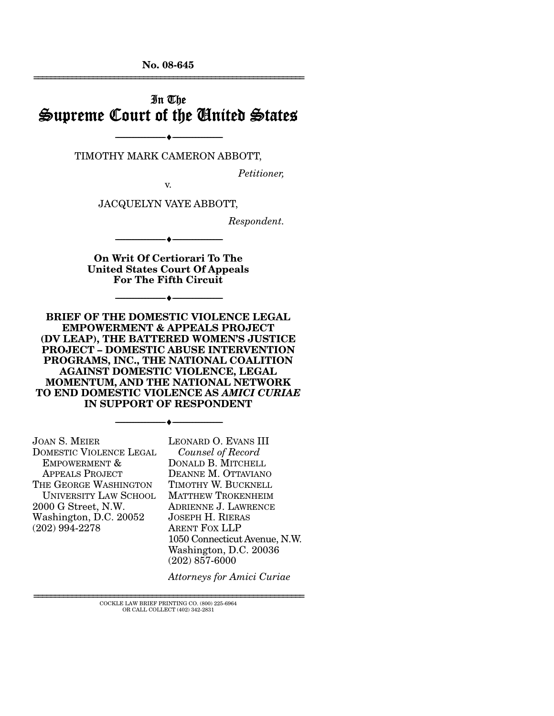**No. 08-645**  ================================================================

# In The Supreme Court of the United States

TIMOTHY MARK CAMERON ABBOTT,

--------------------------------- ♦ ---------------------------------

*Petitioner,* 

v.

JACQUELYN VAYE ABBOTT,

*Respondent.* 

**On Writ Of Certiorari To The United States Court Of Appeals For The Fifth Circuit** 

--------------------------------- ♦ ---------------------------------

--------------------------------- ♦ ---------------------------------

**BRIEF OF THE DOMESTIC VIOLENCE LEGAL EMPOWERMENT & APPEALS PROJECT (DV LEAP), THE BATTERED WOMEN'S JUSTICE PROJECT – DOMESTIC ABUSE INTERVENTION PROGRAMS, INC., THE NATIONAL COALITION AGAINST DOMESTIC VIOLENCE, LEGAL MOMENTUM, AND THE NATIONAL NETWORK TO END DOMESTIC VIOLENCE AS** *AMICI CURIAE*  **IN SUPPORT OF RESPONDENT** 

--------------------------------- ♦ ---------------------------------

JOAN S. MEIER DOMESTIC VIOLENCE LEGAL EMPOWERMENT & APPEALS PROJECT THE GEORGE WASHINGTON UNIVERSITY LAW SCHOOL 2000 G Street, N.W. Washington, D.C. 20052 (202) 994-2278

LEONARD O. EVANS III *Counsel of Record*  DONALD B. MITCHELL DEANNE M. OTTAVIANO TIMOTHY W. BUCKNELL MATTHEW TROKENHEIM ADRIENNE J. LAWRENCE JOSEPH H. RIERAS ARENT FOX LLP 1050 Connecticut Avenue, N.W. Washington, D.C. 20036 (202) 857-6000

*Attorneys for Amici Curiae*

================================================================ COCKLE LAW BRIEF PRINTING CO. (800) 225-6964 OR CALL COLLECT (402) 342-2831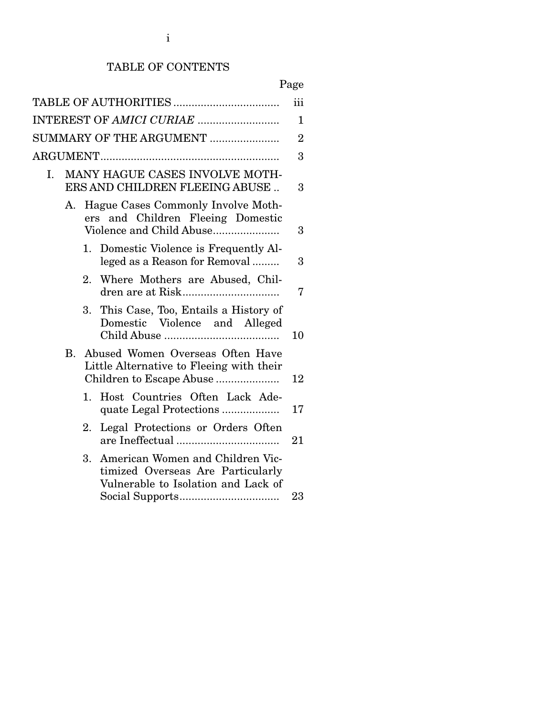# TABLE OF CONTENTS

|--|

|           |                                                                                                                    | iii            |
|-----------|--------------------------------------------------------------------------------------------------------------------|----------------|
|           | INTEREST OF AMICI CURIAE                                                                                           | 1              |
|           | SUMMARY OF THE ARGUMENT                                                                                            | $\overline{2}$ |
|           |                                                                                                                    | 3              |
| I.        | MANY HAGUE CASES INVOLVE MOTH-<br>ERS AND CHILDREN FLEEING ABUSE                                                   | 3              |
| А.        | Hague Cases Commonly Involve Moth-<br>ers and Children Fleeing Domestic                                            | 3              |
|           | Domestic Violence is Frequently Al-<br>1.<br>leged as a Reason for Removal                                         | 3              |
|           | 2.<br>Where Mothers are Abused, Chil-                                                                              | 7              |
|           | This Case, Too, Entails a History of<br>3.<br>Domestic Violence and Alleged                                        | 10             |
| <b>B.</b> | Abused Women Overseas Often Have<br>Little Alternative to Fleeing with their                                       | 12             |
|           | Host Countries Often Lack Ade-<br>1.<br>quate Legal Protections                                                    | 17             |
|           | Legal Protections or Orders Often<br>2.                                                                            | 21             |
|           | American Women and Children Vic-<br>3.<br>timized Overseas Are Particularly<br>Vulnerable to Isolation and Lack of | 23             |
|           |                                                                                                                    |                |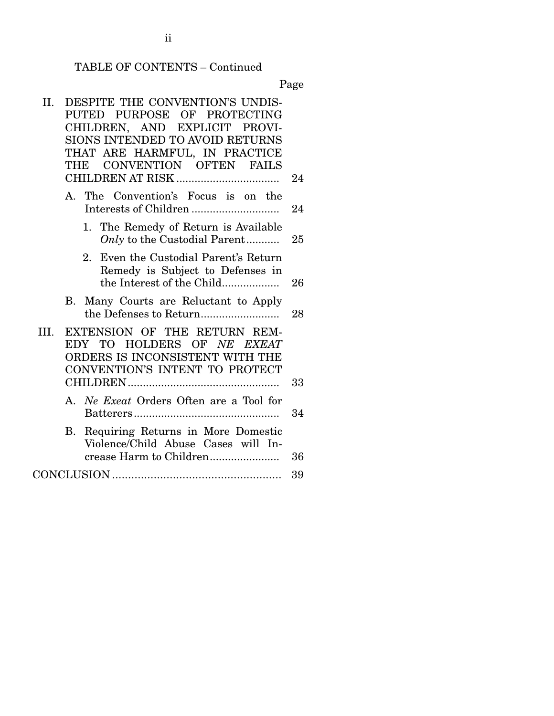# TABLE OF CONTENTS – Continued

| II. | DESPITE THE CONVENTION'S UNDIS-                                                       |    |
|-----|---------------------------------------------------------------------------------------|----|
|     | PUTED PURPOSE OF PROTECTING                                                           |    |
|     | CHILDREN, AND EXPLICIT PROVI-                                                         |    |
|     | SIONS INTENDED TO AVOID RETURNS                                                       |    |
|     | THAT ARE HARMFUL, IN PRACTICE                                                         |    |
|     | CONVENTION OFTEN FAILS<br>THE                                                         |    |
|     |                                                                                       | 24 |
|     | A. The Convention's Focus is on the                                                   | 24 |
|     | 1. The Remedy of Return is Available<br>Only to the Custodial Parent                  | 25 |
|     | Even the Custodial Parent's Return<br>$2^{\circ}$<br>Remedy is Subject to Defenses in |    |
|     | the Interest of the Child                                                             | 26 |
|     | B. Many Courts are Reluctant to Apply                                                 | 28 |
| HL. | EXTENSION OF THE RETURN REM-                                                          |    |
|     | EDY TO HOLDERS OF NE EXEAT                                                            |    |
|     | ORDERS IS INCONSISTENT WITH THE                                                       |    |
|     | CONVENTION'S INTENT TO PROTECT                                                        |    |
|     |                                                                                       | 33 |
|     | A. Ne Exect Orders Often are a Tool for                                               | 34 |
|     |                                                                                       |    |
|     | Requiring Returns in More Domestic<br>В.<br>Violence/Child Abuse Cases will In-       |    |
|     | crease Harm to Children                                                               | 36 |
|     |                                                                                       | 39 |
|     |                                                                                       |    |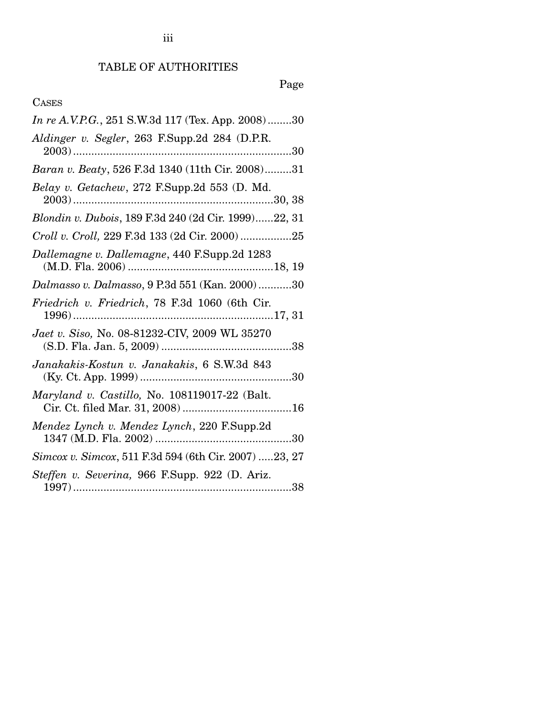# Page

# CASES

| <i>In re A.V.P.G.</i> , 251 S.W.3d 117 (Tex. App. 2008)30 |
|-----------------------------------------------------------|
| Aldinger v. Segler, 263 F.Supp.2d 284 (D.P.R.             |
| Baran v. Beaty, 526 F.3d 1340 (11th Cir. 2008)31          |
| Belay v. Getachew, 272 F.Supp.2d 553 (D. Md.              |
| Blondin v. Dubois, 189 F.3d 240 (2d Cir. 1999)22, 31      |
| Croll v. Croll, 229 F.3d 133 (2d Cir. 2000)25             |
| Dallemagne v. Dallemagne, 440 F.Supp.2d 1283              |
| Dalmasso v. Dalmasso, 9 P.3d 551 (Kan. 2000)30            |
| Friedrich v. Friedrich, 78 F.3d 1060 (6th Cir.            |
| Jaet v. Siso, No. 08-81232-CIV, 2009 WL 35270             |
| Janakakis-Kostun v. Janakakis, 6 S.W.3d 843               |
| Maryland v. Castillo, No. 108119017-22 (Balt.             |
| Mendez Lynch v. Mendez Lynch, 220 F.Supp.2d               |
| Simcox v. Simcox, 511 F.3d 594 (6th Cir. 2007) 23, 27     |
| Steffen v. Severina, 966 F.Supp. 922 (D. Ariz.            |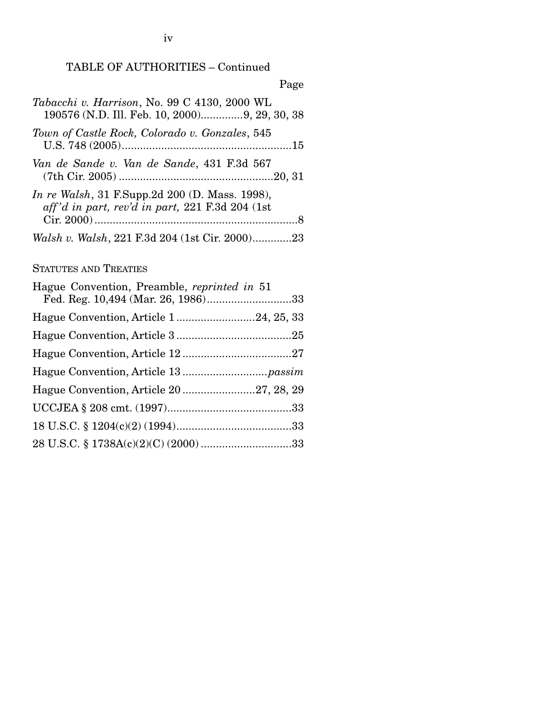| Page                                                                                                      |
|-----------------------------------------------------------------------------------------------------------|
| Tabacchi v. Harrison, No. 99 C 4130, 2000 WL<br>190576 (N.D. Ill. Feb. 10, 2000)9, 29, 30, 38             |
| Town of Castle Rock, Colorado v. Gonzales, 545                                                            |
| Van de Sande v. Van de Sande, 431 F.3d 567                                                                |
| <i>In re Walsh</i> , 31 F.Supp.2d 200 (D. Mass. 1998),<br>aff'd in part, rev'd in part, 221 F.3d 204 (1st |
| Walsh v. Walsh, 221 F.3d 204 (1st Cir. 2000)23                                                            |
| <b>STATUTES AND TREATIES</b>                                                                              |
| Hague Convention, Preamble, reprinted in 51<br>Fed. Reg. 10,494 (Mar. 26, 1986)33                         |
| Hague Convention, Article 124, 25, 33                                                                     |
|                                                                                                           |
|                                                                                                           |
|                                                                                                           |
| Hague Convention, Article 20 27, 28, 29                                                                   |
|                                                                                                           |
|                                                                                                           |
|                                                                                                           |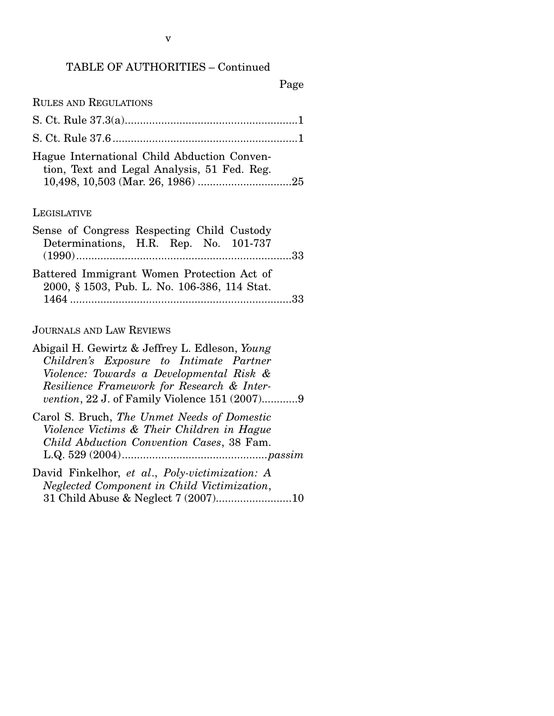## Page

| Hague International Child Abduction Conven-<br>tion, Text and Legal Analysis, 51 Fed. Reg. |  |
|--------------------------------------------------------------------------------------------|--|
|                                                                                            |  |

### LEGISLATIVE

| Sense of Congress Respecting Child Custody   |  |  |
|----------------------------------------------|--|--|
| Determinations, H.R. Rep. No. 101-737        |  |  |
|                                              |  |  |
| Battered Immigrant Women Protection Act of   |  |  |
| 2000, § 1503, Pub. L. No. 106-386, 114 Stat. |  |  |
|                                              |  |  |

## JOURNALS AND LAW REVIEWS

| Abigail H. Gewirtz & Jeffrey L. Edleson, Young<br>Children's Exposure to Intimate Partner                                               |
|-----------------------------------------------------------------------------------------------------------------------------------------|
| Violence: Towards a Developmental Risk &<br>Resilience Framework for Research & Inter-<br>vention, 22 J. of Family Violence 151 (2007)9 |
| Carol S. Bruch, The Unmet Needs of Domestic<br>Violence Victims & Their Children in Hague<br>Child Abduction Convention Cases, 38 Fam.  |
| David Finkelhor, et al., Poly-victimization: A<br>Neglected Component in Child Victimization,                                           |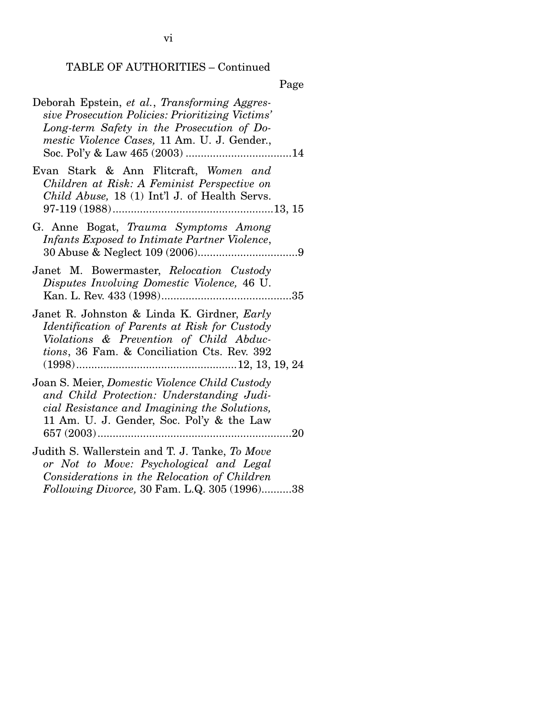Page

| Deborah Epstein, et al., Transforming Aggres-<br>sive Prosecution Policies: Prioritizing Victims'<br>Long-term Safety in the Prosecution of Do-<br>mestic Violence Cases, 11 Am. U. J. Gender.,                |
|----------------------------------------------------------------------------------------------------------------------------------------------------------------------------------------------------------------|
| Evan Stark & Ann Flitcraft, Women and<br>Children at Risk: A Feminist Perspective on<br>Child Abuse, 18 (1) Int'l J. of Health Servs.                                                                          |
| G. Anne Bogat, Trauma Symptoms Among<br>Infants Exposed to Intimate Partner Violence,                                                                                                                          |
| Janet M. Bowermaster, Relocation Custody<br>Disputes Involving Domestic Violence, 46 U.                                                                                                                        |
| Janet R. Johnston & Linda K. Girdner, Early<br>Identification of Parents at Risk for Custody<br>Violations & Prevention of Child Abduc-<br>tions, 36 Fam. & Conciliation Cts. Rev. 392                         |
| Joan S. Meier, Domestic Violence Child Custody<br>and Child Protection: Understanding Judi-<br>cial Resistance and Imagining the Solutions,<br>11 Am. U. J. Gender, Soc. Pol'y & the Law<br>657 $(2003)$<br>20 |
| Judith S. Wallerstein and T. J. Tanke, To Move<br>or Not to Move: Psychological and Legal<br>Considerations in the Relocation of Children<br>Following Divorce, 30 Fam. L.Q. 305 (1996)38                      |

vi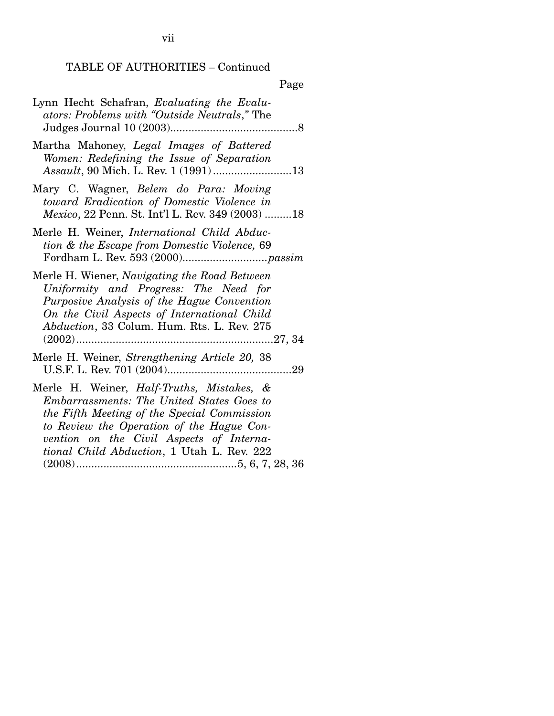| Page                                                                                                                                                                                                                             |
|----------------------------------------------------------------------------------------------------------------------------------------------------------------------------------------------------------------------------------|
| Lynn Hecht Schafran, Evaluating the Evalu-<br>ators: Problems with "Outside Neutrals," The                                                                                                                                       |
| Martha Mahoney, Legal Images of Battered<br>Women: Redefining the Issue of Separation<br>Assault, 90 Mich. L. Rev. 1 (1991) 13                                                                                                   |
| Mary C. Wagner, Belem do Para: Moving<br>toward Eradication of Domestic Violence in<br><i>Mexico</i> , 22 Penn. St. Int'l L. Rev. 349 (2003) 18                                                                                  |
| Merle H. Weiner, International Child Abduc-<br>tion & the Escape from Domestic Violence, 69                                                                                                                                      |
| Merle H. Wiener, Navigating the Road Between<br>Uniformity and Progress: The Need for<br>Purposive Analysis of the Hague Convention<br>On the Civil Aspects of International Child<br>Abduction, 33 Colum. Hum. Rts. L. Rev. 275 |
| Merle H. Weiner, Strengthening Article 20, 38                                                                                                                                                                                    |
| Merle H. Weiner, <i>Half-Truths, Mistakes, &amp;</i><br><b>Embarrassments: The United States Goes to</b><br>the Fifth Meeting of the Special Commission<br>to Review the Operation of the Hague Con-                             |

*vention on the Civil Aspects of International Child Abduction*, 1 Utah L. Rev. 222

(2008) ..................................................... 5, 6, 7, 28, 36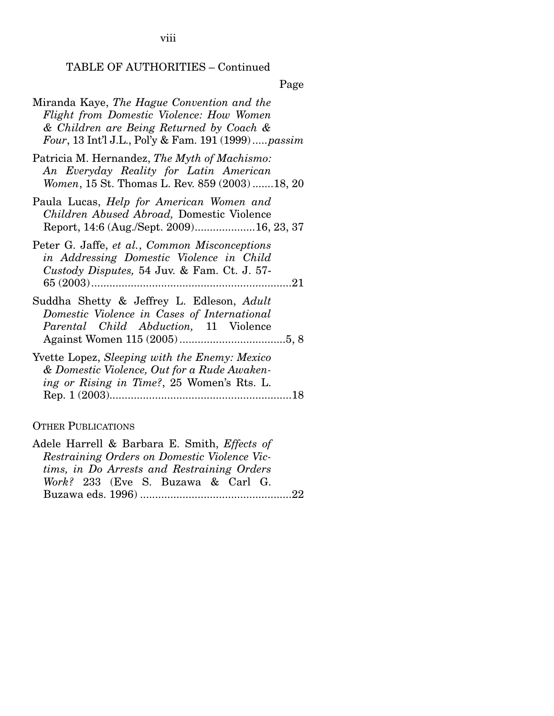viii

## TABLE OF AUTHORITIES – Continued

Page

| Miranda Kaye, The Hague Convention and the<br>Flight from Domestic Violence: How Women<br>& Children are Being Returned by Coach &<br>Four, 13 Int'l J.L., Pol'y & Fam. 191 (1999)passim |
|------------------------------------------------------------------------------------------------------------------------------------------------------------------------------------------|
| Patricia M. Hernandez, The Myth of Machismo:<br>An Everyday Reality for Latin American<br>Women, 15 St. Thomas L. Rev. 859 (2003) 18, 20                                                 |
| Paula Lucas, Help for American Women and<br>Children Abused Abroad, Domestic Violence<br>Report, 14:6 (Aug./Sept. 2009)16, 23, 37                                                        |
| Peter G. Jaffe, et al., Common Misconceptions<br>in Addressing Domestic Violence in Child<br>Custody Disputes, 54 Juv. & Fam. Ct. J. 57-                                                 |
| Suddha Shetty & Jeffrey L. Edleson, Adult<br>Domestic Violence in Cases of International<br>Parental Child Abduction, 11 Violence                                                        |
| Yvette Lopez, Sleeping with the Enemy: Mexico<br>& Domestic Violence, Out for a Rude Awaken-<br>ing or Rising in Time?, 25 Women's Rts. L.                                               |

#### OTHER PUBLICATIONS

Adele Harrell & Barbara E. Smith, *Effects of Restraining Orders on Domestic Violence Victims, in Do Arrests and Restraining Orders Work?* 233 (Eve S. Buzawa & Carl G. Buzawa eds. 1996) .................................................. 22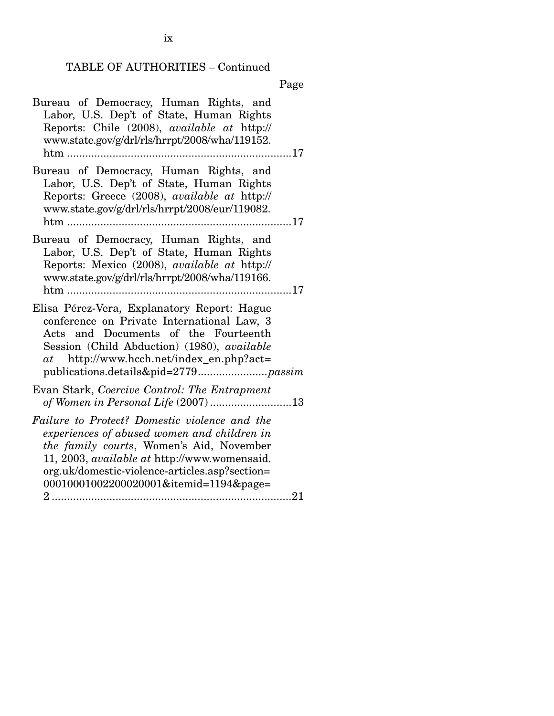| Bureau of Democracy, Human Rights, and<br>Labor, U.S. Dep't of State, Human Rights<br>Reports: Chile (2008), available at http://<br>www.state.gov/g/drl/rls/hrrpt/2008/wha/119152.<br>$htm$                                                                                         |
|--------------------------------------------------------------------------------------------------------------------------------------------------------------------------------------------------------------------------------------------------------------------------------------|
| Bureau of Democracy, Human Rights, and<br>Labor, U.S. Dep't of State, Human Rights<br>Reports: Greece (2008), available at http://<br>www.state.gov/g/drl/rls/hrrpt/2008/eur/119082.                                                                                                 |
| Bureau of Democracy, Human Rights, and<br>Labor, U.S. Dep't of State, Human Rights<br>Reports: Mexico (2008), available at http://<br>www.state.gov/g/drl/rls/hrrpt/2008/wha/119166.                                                                                                 |
| Elisa Pérez-Vera, Explanatory Report: Hague<br>conference on Private International Law, 3<br>Acts and Documents of the Fourteenth<br>Session (Child Abduction) (1980), available<br>$at$ http://www.hcch.net/index_en.php?act=                                                       |
| Evan Stark, Coercive Control: The Entrapment<br>of Women in Personal Life (2007)13                                                                                                                                                                                                   |
| Failure to Protect? Domestic violence and the<br>experiences of abused women and children in<br>the family courts, Women's Aid, November<br>11, 2003, available at http://www.womensaid.<br>org.uk/domestic-violence-articles.asp?section=<br>00010001002200020001&itemid=1194&page= |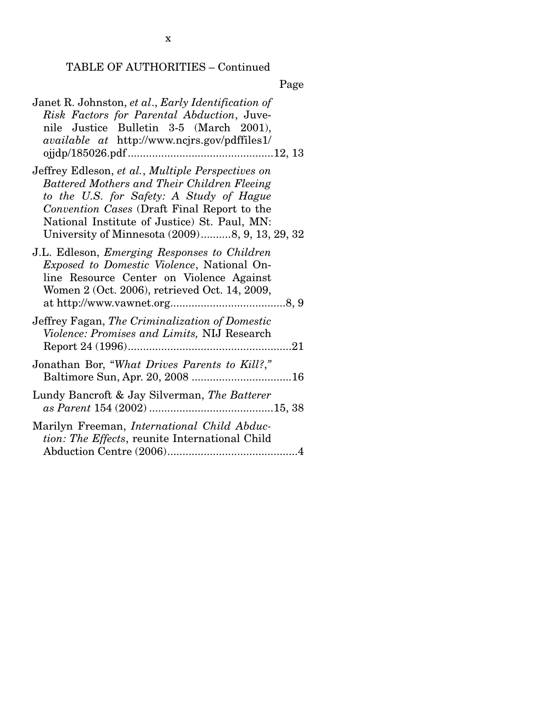| Janet R. Johnston, et al., Early Identification of<br>Risk Factors for Parental Abduction, Juve-<br>nile Justice Bulletin 3-5 (March 2001),<br><i>available at http://www.ncjrs.gov/pdffiles1/</i>                                                                                            |  |
|-----------------------------------------------------------------------------------------------------------------------------------------------------------------------------------------------------------------------------------------------------------------------------------------------|--|
| Jeffrey Edleson, et al., Multiple Perspectives on<br>Battered Mothers and Their Children Fleeing<br>to the U.S. for Safety: A Study of Hague<br>Convention Cases (Draft Final Report to the<br>National Institute of Justice) St. Paul, MN:<br>University of Minnesota (2009)8, 9, 13, 29, 32 |  |
| J.L. Edleson, <i>Emerging Responses to Children</i><br><i>Exposed to Domestic Violence</i> , National On-<br>line Resource Center on Violence Against<br>Women 2 (Oct. 2006), retrieved Oct. 14, 2009,                                                                                        |  |
| Jeffrey Fagan, The Criminalization of Domestic<br>Violence: Promises and Limits, NIJ Research                                                                                                                                                                                                 |  |
| Jonathan Bor, "What Drives Parents to Kill?,"                                                                                                                                                                                                                                                 |  |
| Lundy Bancroft & Jay Silverman, The Batterer                                                                                                                                                                                                                                                  |  |
| Marilyn Freeman, <i>International Child Abduc-</i><br>tion: The Effects, reunite International Child                                                                                                                                                                                          |  |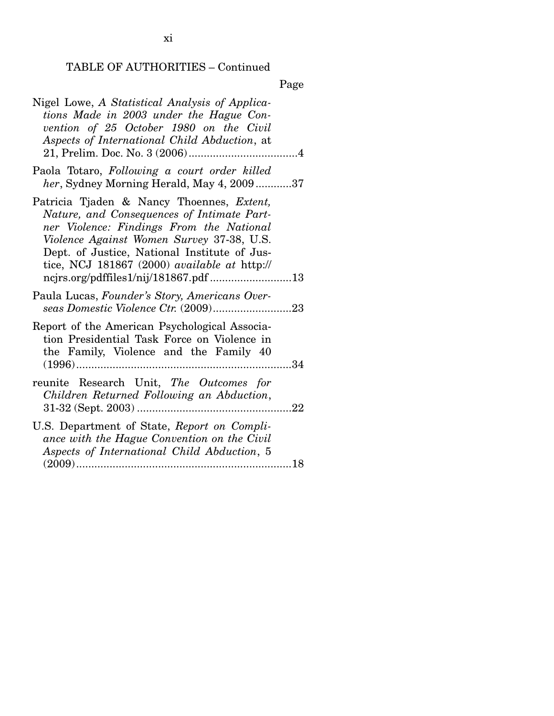| Nigel Lowe, A Statistical Analysis of Applica-<br>tions Made in 2003 under the Hague Con-<br>vention of 25 October 1980 on the Civil<br>Aspects of International Child Abduction, at                                                                                                                                      |  |
|---------------------------------------------------------------------------------------------------------------------------------------------------------------------------------------------------------------------------------------------------------------------------------------------------------------------------|--|
| Paola Totaro, Following a court order killed<br>her, Sydney Morning Herald, May 4, 200937                                                                                                                                                                                                                                 |  |
| Patricia Tjaden & Nancy Thoennes, Extent,<br>Nature, and Consequences of Intimate Part-<br>ner Violence: Findings From the National<br>Violence Against Women Survey 37-38, U.S.<br>Dept. of Justice, National Institute of Jus-<br>tice, NCJ 181867 (2000) available at http://<br>ncjrs.org/pdffiles1/nij/181867.pdf 13 |  |
| Paula Lucas, Founder's Story, Americans Over-                                                                                                                                                                                                                                                                             |  |
| Report of the American Psychological Associa-<br>tion Presidential Task Force on Violence in<br>the Family, Violence and the Family 40<br>34                                                                                                                                                                              |  |
| reunite Research Unit, The Outcomes for<br>Children Returned Following an Abduction,                                                                                                                                                                                                                                      |  |
| U.S. Department of State, Report on Compli-<br>ance with the Hague Convention on the Civil<br>Aspects of International Child Abduction, 5                                                                                                                                                                                 |  |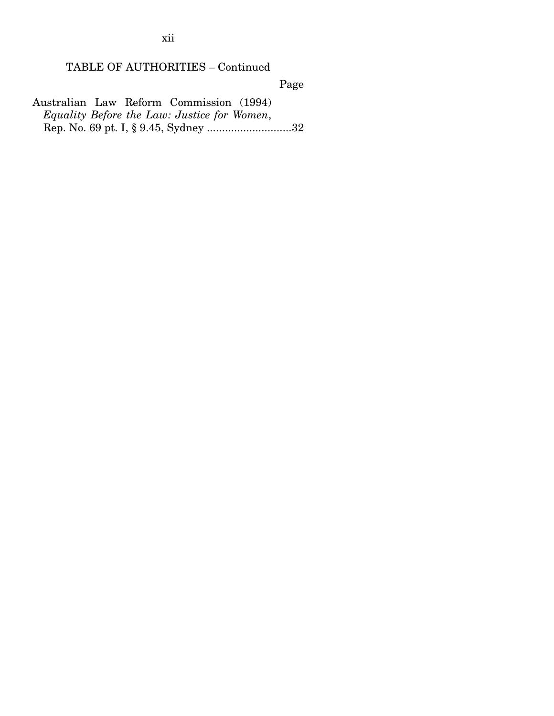Page

Australian Law Reform Commission (1994) *Equality Before the Law: Justice for Women*, Rep. No. 69 pt. I, § 9.45, Sydney ............................ 32

xii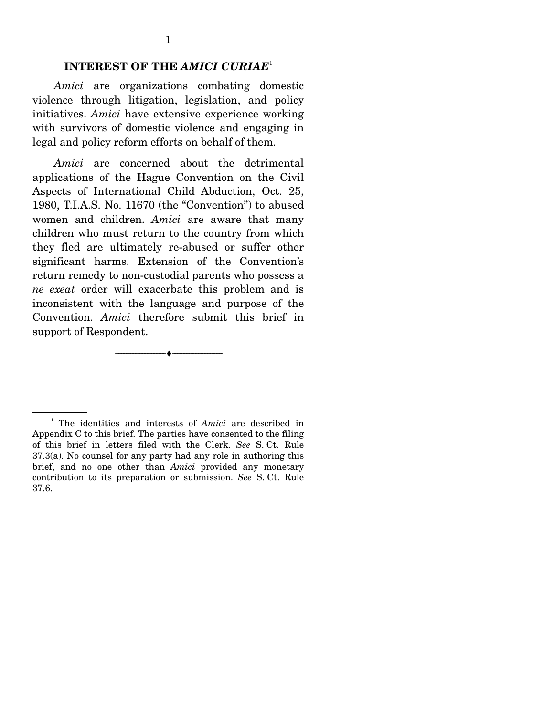### **INTEREST OF THE** *AMICI CURIAE*<sup>1</sup>

*Amici* are organizations combating domestic violence through litigation, legislation, and policy initiatives. *Amici* have extensive experience working with survivors of domestic violence and engaging in legal and policy reform efforts on behalf of them.

*Amici* are concerned about the detrimental applications of the Hague Convention on the Civil Aspects of International Child Abduction, Oct. 25, 1980, T.I.A.S. No. 11670 (the "Convention") to abused women and children. *Amici* are aware that many children who must return to the country from which they fled are ultimately re-abused or suffer other significant harms. Extension of the Convention's return remedy to non-custodial parents who possess a *ne exeat* order will exacerbate this problem and is inconsistent with the language and purpose of the Convention. *Amici* therefore submit this brief in support of Respondent.

--------------------------------- ♦ ---------------------------------

<sup>&</sup>lt;sup>1</sup> The identities and interests of *Amici* are described in Appendix C to this brief. The parties have consented to the filing of this brief in letters filed with the Clerk. *See* S. Ct. Rule 37.3(a). No counsel for any party had any role in authoring this brief, and no one other than *Amici* provided any monetary contribution to its preparation or submission. *See* S. Ct. Rule 37.6.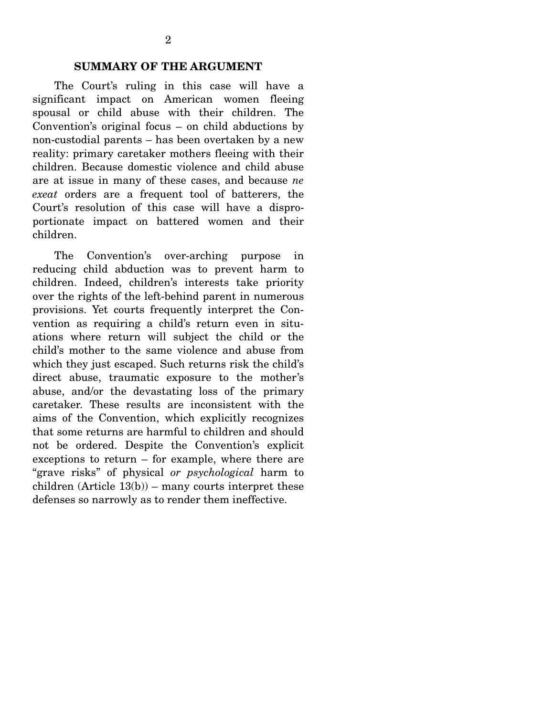The Court's ruling in this case will have a significant impact on American women fleeing spousal or child abuse with their children. The Convention's original focus – on child abductions by non-custodial parents – has been overtaken by a new reality: primary caretaker mothers fleeing with their children. Because domestic violence and child abuse are at issue in many of these cases, and because *ne exeat* orders are a frequent tool of batterers, the Court's resolution of this case will have a disproportionate impact on battered women and their children.

 The Convention's over-arching purpose in reducing child abduction was to prevent harm to children. Indeed, children's interests take priority over the rights of the left-behind parent in numerous provisions. Yet courts frequently interpret the Convention as requiring a child's return even in situations where return will subject the child or the child's mother to the same violence and abuse from which they just escaped. Such returns risk the child's direct abuse, traumatic exposure to the mother's abuse, and/or the devastating loss of the primary caretaker. These results are inconsistent with the aims of the Convention, which explicitly recognizes that some returns are harmful to children and should not be ordered. Despite the Convention's explicit exceptions to return – for example, where there are "grave risks" of physical *or psychological* harm to children  $(A$ rticle  $13(b)$  – many courts interpret these defenses so narrowly as to render them ineffective.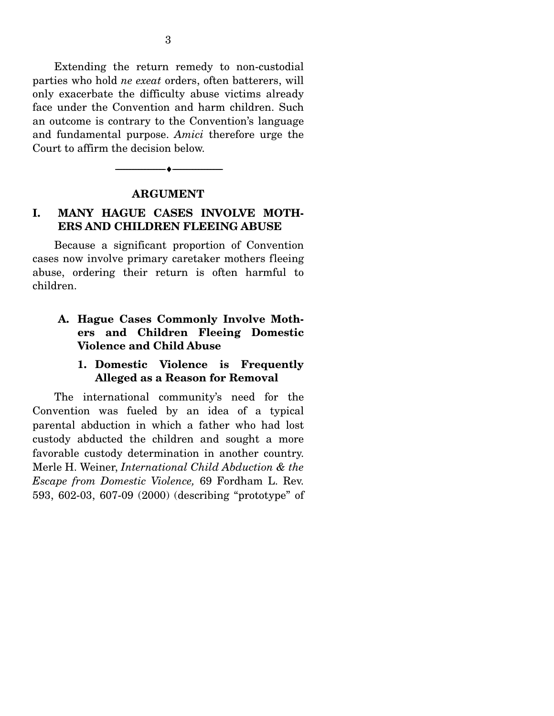Extending the return remedy to non-custodial parties who hold *ne exeat* orders, often batterers, will only exacerbate the difficulty abuse victims already face under the Convention and harm children. Such an outcome is contrary to the Convention's language and fundamental purpose. *Amici* therefore urge the Court to affirm the decision below.

# --------------------------------- ♦ --------------------------------- **ARGUMENT**

### **I. MANY HAGUE CASES INVOLVE MOTH-ERS AND CHILDREN FLEEING ABUSE**

Because a significant proportion of Convention cases now involve primary caretaker mothers fleeing abuse, ordering their return is often harmful to children.

### **A. Hague Cases Commonly Involve Mothers and Children Fleeing Domestic Violence and Child Abuse**

#### **1. Domestic Violence is Frequently Alleged as a Reason for Removal**

The international community's need for the Convention was fueled by an idea of a typical parental abduction in which a father who had lost custody abducted the children and sought a more favorable custody determination in another country. Merle H. Weiner, *International Child Abduction & the Escape from Domestic Violence,* 69 Fordham L. Rev. 593, 602-03, 607-09 (2000) (describing "prototype" of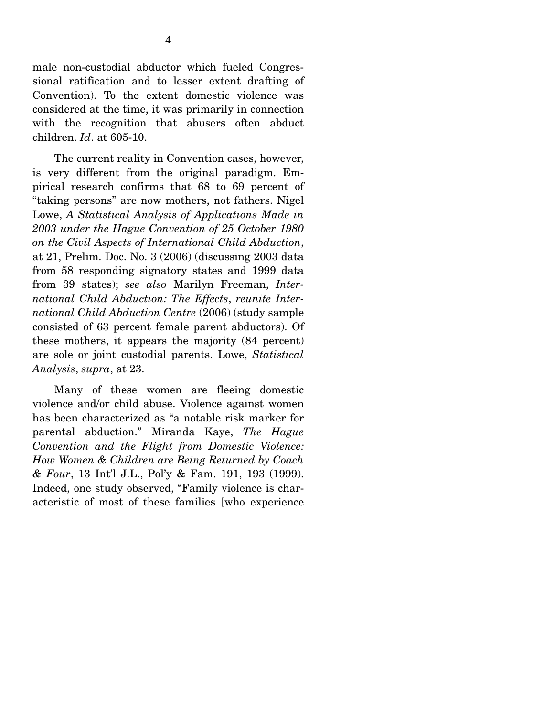male non-custodial abductor which fueled Congressional ratification and to lesser extent drafting of Convention). To the extent domestic violence was considered at the time, it was primarily in connection with the recognition that abusers often abduct children. *Id*. at 605-10.

 The current reality in Convention cases, however, is very different from the original paradigm. Empirical research confirms that 68 to 69 percent of "taking persons" are now mothers, not fathers. Nigel Lowe, *A Statistical Analysis of Applications Made in 2003 under the Hague Convention of 25 October 1980 on the Civil Aspects of International Child Abduction*, at 21, Prelim. Doc. No. 3 (2006) (discussing 2003 data from 58 responding signatory states and 1999 data from 39 states); *see also* Marilyn Freeman, *International Child Abduction: The Effects*, *reunite International Child Abduction Centre* (2006) (study sample consisted of 63 percent female parent abductors). Of these mothers, it appears the majority (84 percent) are sole or joint custodial parents. Lowe, *Statistical Analysis*, *supra*, at 23.

 Many of these women are fleeing domestic violence and/or child abuse. Violence against women has been characterized as "a notable risk marker for parental abduction." Miranda Kaye, *The Hague Convention and the Flight from Domestic Violence: How Women & Children are Being Returned by Coach & Four*, 13 Int'l J.L., Pol'y & Fam. 191, 193 (1999). Indeed, one study observed, "Family violence is characteristic of most of these families [who experience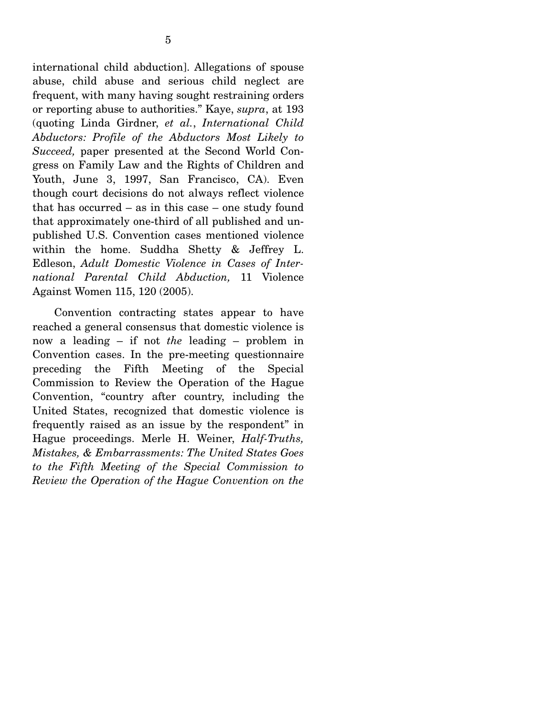international child abduction]. Allegations of spouse abuse, child abuse and serious child neglect are frequent, with many having sought restraining orders or reporting abuse to authorities." Kaye, *supra*, at 193 (quoting Linda Girdner, *et al.*, *International Child Abductors: Profile of the Abductors Most Likely to Succeed,* paper presented at the Second World Congress on Family Law and the Rights of Children and Youth, June 3, 1997, San Francisco, CA). Even though court decisions do not always reflect violence that has occurred – as in this case – one study found that approximately one-third of all published and unpublished U.S. Convention cases mentioned violence within the home. Suddha Shetty & Jeffrey L. Edleson, *Adult Domestic Violence in Cases of International Parental Child Abduction,* 11 Violence Against Women 115, 120 (2005).

Convention contracting states appear to have reached a general consensus that domestic violence is now a leading – if not *the* leading – problem in Convention cases. In the pre-meeting questionnaire preceding the Fifth Meeting of the Special Commission to Review the Operation of the Hague Convention, "country after country, including the United States, recognized that domestic violence is frequently raised as an issue by the respondent" in Hague proceedings. Merle H. Weiner, *Half-Truths, Mistakes, & Embarrassments: The United States Goes to the Fifth Meeting of the Special Commission to Review the Operation of the Hague Convention on the*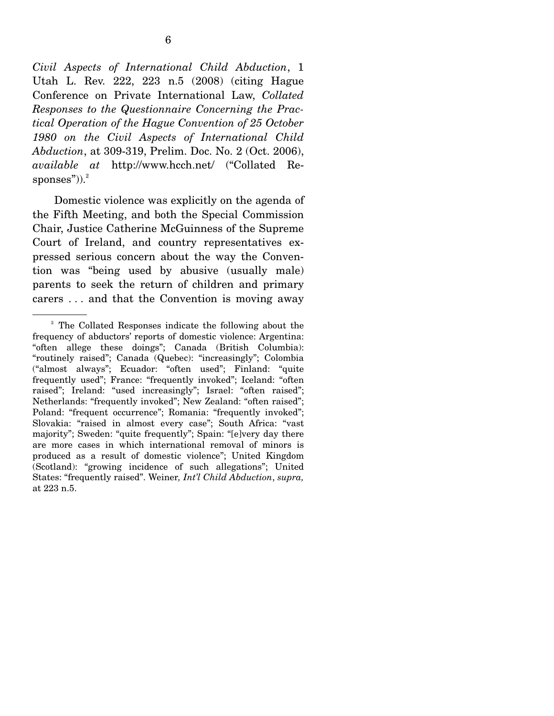*Civil Aspects of International Child Abduction*, 1 Utah L. Rev. 222, 223 n.5 (2008) (citing Hague Conference on Private International Law, *Collated Responses to the Questionnaire Concerning the Practical Operation of the Hague Convention of 25 October 1980 on the Civil Aspects of International Child Abduction*, at 309-319, Prelim. Doc. No. 2 (Oct. 2006), *available at* http://www.hcch.net/ ("Collated Re- $^{\rm sponses''}$ )). $^{\rm 2}$ 

 Domestic violence was explicitly on the agenda of the Fifth Meeting, and both the Special Commission Chair, Justice Catherine McGuinness of the Supreme Court of Ireland, and country representatives expressed serious concern about the way the Convention was "being used by abusive (usually male) parents to seek the return of children and primary carers . . . and that the Convention is moving away

<sup>&</sup>lt;sup>2</sup> The Collated Responses indicate the following about the frequency of abductors' reports of domestic violence: Argentina: "often allege these doings"; Canada (British Columbia): "routinely raised"; Canada (Quebec): "increasingly"; Colombia ("almost always"; Ecuador: "often used"; Finland: "quite frequently used"; France: "frequently invoked"; Iceland: "often raised"; Ireland: "used increasingly"; Israel: "often raised"; Netherlands: "frequently invoked"; New Zealand: "often raised"; Poland: "frequent occurrence"; Romania: "frequently invoked"; Slovakia: "raised in almost every case"; South Africa: "vast majority"; Sweden: "quite frequently"; Spain: "[e]very day there are more cases in which international removal of minors is produced as a result of domestic violence"; United Kingdom (Scotland): "growing incidence of such allegations"; United States: "frequently raised". Weiner*, Int'l Child Abduction*, *supra,*  at 223 n.5.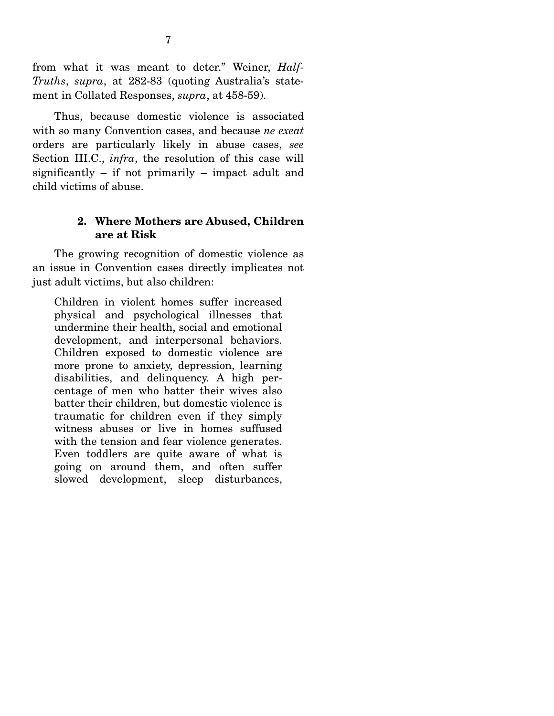from what it was meant to deter." Weiner, *Half-Truths*, *supra*, at 282-83 (quoting Australia's statement in Collated Responses, *supra*, at 458-59).

 Thus, because domestic violence is associated with so many Convention cases, and because *ne exeat*  orders are particularly likely in abuse cases, *see*  Section III.C., *infra*, the resolution of this case will significantly – if not primarily – impact adult and child victims of abuse.

#### **2. Where Mothers are Abused, Children are at Risk**

The growing recognition of domestic violence as an issue in Convention cases directly implicates not just adult victims, but also children:

Children in violent homes suffer increased physical and psychological illnesses that undermine their health, social and emotional development, and interpersonal behaviors. Children exposed to domestic violence are more prone to anxiety, depression, learning disabilities, and delinquency. A high percentage of men who batter their wives also batter their children, but domestic violence is traumatic for children even if they simply witness abuses or live in homes suffused with the tension and fear violence generates. Even toddlers are quite aware of what is going on around them, and often suffer slowed development, sleep disturbances,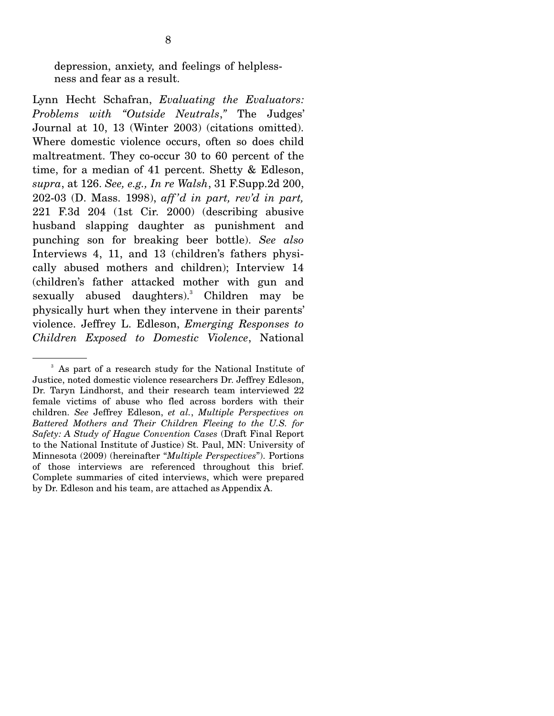depression, anxiety, and feelings of helplessness and fear as a result.

Lynn Hecht Schafran, *Evaluating the Evaluators: Problems with "Outside Neutrals*,*"* The Judges' Journal at 10, 13 (Winter 2003) (citations omitted). Where domestic violence occurs, often so does child maltreatment. They co-occur 30 to 60 percent of the time, for a median of 41 percent. Shetty & Edleson, *supra*, at 126. *See, e.g., In re Walsh*, 31 F.Supp.2d 200, 202-03 (D. Mass. 1998), *aff 'd in part, rev'd in part,* 221 F.3d 204 (1st Cir. 2000) (describing abusive husband slapping daughter as punishment and punching son for breaking beer bottle). *See also* Interviews 4, 11, and 13 (children's fathers physically abused mothers and children); Interview 14 (children's father attacked mother with gun and sexually abused daughters).<sup>3</sup> Children may be physically hurt when they intervene in their parents' violence. Jeffrey L. Edleson, *Emerging Responses to Children Exposed to Domestic Violence*, National

<sup>3</sup> As part of a research study for the National Institute of Justice, noted domestic violence researchers Dr. Jeffrey Edleson, Dr. Taryn Lindhorst, and their research team interviewed 22 female victims of abuse who fled across borders with their children. *See* Jeffrey Edleson, *et al.*, *Multiple Perspectives on Battered Mothers and Their Children Fleeing to the U.S. for Safety: A Study of Hague Convention Cases* (Draft Final Report to the National Institute of Justice) St. Paul, MN: University of Minnesota (2009) (hereinafter "*Multiple Perspectives*"). Portions of those interviews are referenced throughout this brief. Complete summaries of cited interviews, which were prepared by Dr. Edleson and his team, are attached as Appendix A.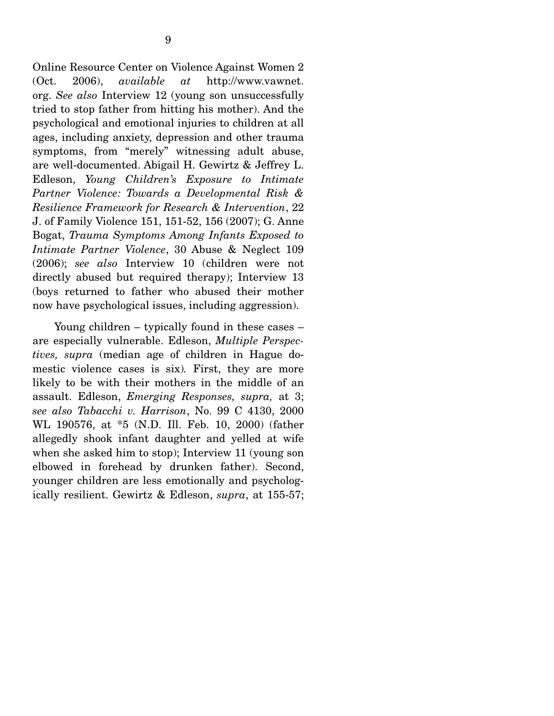Online Resource Center on Violence Against Women 2 (Oct. 2006), *available at* http://www.vawnet. org. *See also* Interview 12 (young son unsuccessfully tried to stop father from hitting his mother). And the psychological and emotional injuries to children at all ages, including anxiety, depression and other trauma symptoms, from "merely" witnessing adult abuse, are well-documented. Abigail H. Gewirtz & Jeffrey L. Edleson, *Young Children's Exposure to Intimate Partner Violence: Towards a Developmental Risk & Resilience Framework for Research & Intervention*, 22 J. of Family Violence 151, 151-52, 156 (2007); G. Anne Bogat, *Trauma Symptoms Among Infants Exposed to Intimate Partner Violence*, 30 Abuse & Neglect 109 (2006); *see also* Interview 10 (children were not directly abused but required therapy); Interview 13 (boys returned to father who abused their mother now have psychological issues, including aggression).

 Young children – typically found in these cases – are especially vulnerable. Edleson, *Multiple Perspectives, supra* (median age of children in Hague domestic violence cases is six)*.* First, they are more likely to be with their mothers in the middle of an assault. Edleson, *Emerging Responses, supra,* at 3; *see also Tabacchi v. Harrison*, No. 99 C 4130, 2000 WL 190576, at \*5 (N.D. Ill. Feb. 10, 2000) (father allegedly shook infant daughter and yelled at wife when she asked him to stop); Interview 11 (young son elbowed in forehead by drunken father). Second, younger children are less emotionally and psychologically resilient. Gewirtz & Edleson, *supra*, at 155-57;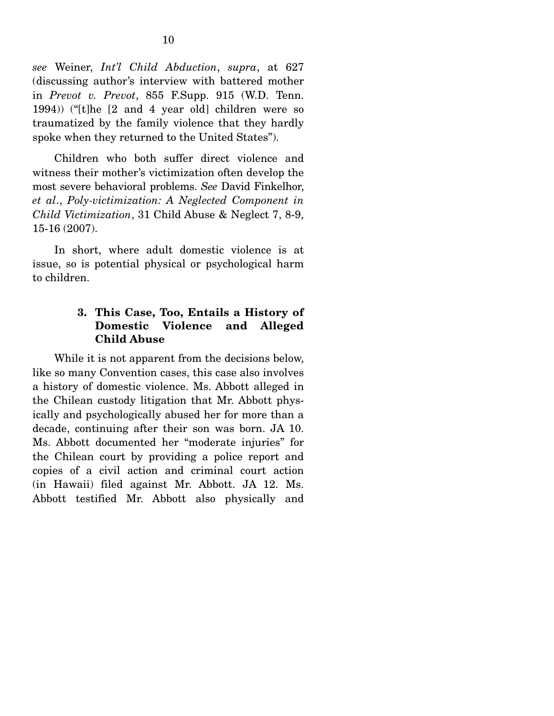*see* Weiner, *Int'l Child Abduction*, *supra*, at 627 (discussing author's interview with battered mother in *Prevot v. Prevot*, 855 F.Supp. 915 (W.D. Tenn. 1994)) ("[t]he [2 and 4 year old] children were so traumatized by the family violence that they hardly spoke when they returned to the United States").

 Children who both suffer direct violence and witness their mother's victimization often develop the most severe behavioral problems. *See* David Finkelhor, *et al*., *Poly-victimization: A Neglected Component in Child Victimization*, 31 Child Abuse & Neglect 7, 8-9, 15-16 (2007).

 In short, where adult domestic violence is at issue, so is potential physical or psychological harm to children.

### **3. This Case, Too, Entails a History of Domestic Violence and Alleged Child Abuse**

While it is not apparent from the decisions below, like so many Convention cases, this case also involves a history of domestic violence. Ms. Abbott alleged in the Chilean custody litigation that Mr. Abbott physically and psychologically abused her for more than a decade, continuing after their son was born. JA 10. Ms. Abbott documented her "moderate injuries" for the Chilean court by providing a police report and copies of a civil action and criminal court action (in Hawaii) filed against Mr. Abbott. JA 12. Ms. Abbott testified Mr. Abbott also physically and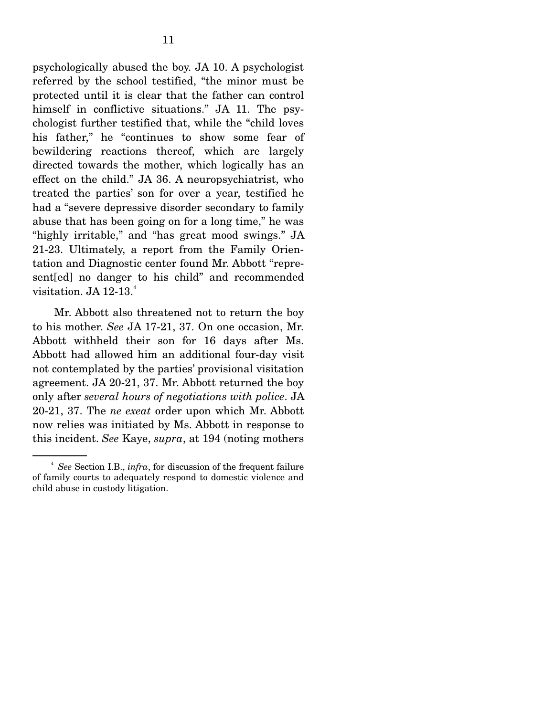psychologically abused the boy. JA 10. A psychologist referred by the school testified, "the minor must be protected until it is clear that the father can control himself in conflictive situations." JA 11. The psychologist further testified that, while the "child loves his father," he "continues to show some fear of bewildering reactions thereof, which are largely directed towards the mother, which logically has an effect on the child." JA 36. A neuropsychiatrist, who treated the parties' son for over a year, testified he had a "severe depressive disorder secondary to family abuse that has been going on for a long time," he was "highly irritable," and "has great mood swings." JA 21-23. Ultimately, a report from the Family Orientation and Diagnostic center found Mr. Abbott "represent[ed] no danger to his child" and recommended visitation. JA 12-13.<sup>4</sup>

Mr. Abbott also threatened not to return the boy to his mother. *See* JA 17-21, 37. On one occasion, Mr. Abbott withheld their son for 16 days after Ms. Abbott had allowed him an additional four-day visit not contemplated by the parties' provisional visitation agreement. JA 20-21, 37. Mr. Abbott returned the boy only after *several hours of negotiations with police*. JA 20-21, 37. The *ne exeat* order upon which Mr. Abbott now relies was initiated by Ms. Abbott in response to this incident. *See* Kaye, *supra*, at 194 (noting mothers

<sup>&</sup>lt;sup>4</sup> See Section I.B., *infra*, for discussion of the frequent failure of family courts to adequately respond to domestic violence and child abuse in custody litigation.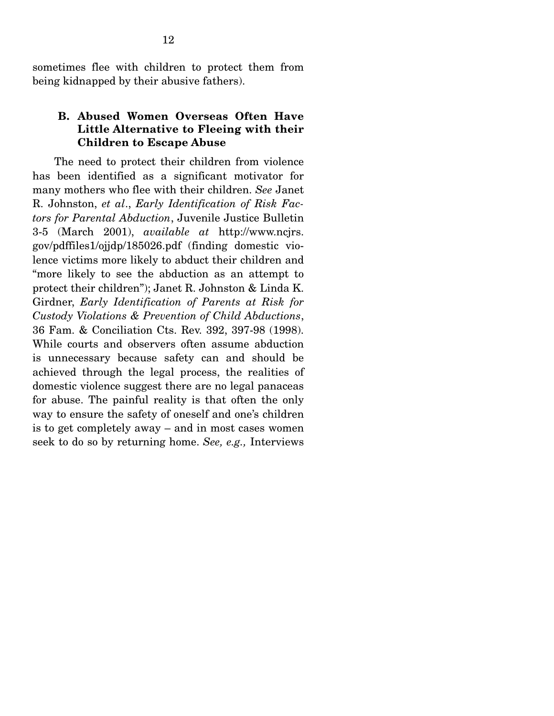sometimes flee with children to protect them from being kidnapped by their abusive fathers).

### **B. Abused Women Overseas Often Have Little Alternative to Fleeing with their Children to Escape Abuse**

The need to protect their children from violence has been identified as a significant motivator for many mothers who flee with their children. *See* Janet R. Johnston, *et al*., *Early Identification of Risk Factors for Parental Abduction*, Juvenile Justice Bulletin 3-5 (March 2001), *available at* http://www.ncjrs. gov/pdffiles1/ojjdp/185026.pdf (finding domestic violence victims more likely to abduct their children and "more likely to see the abduction as an attempt to protect their children"); Janet R. Johnston & Linda K. Girdner, *Early Identification of Parents at Risk for Custody Violations & Prevention of Child Abductions*, 36 Fam. & Conciliation Cts. Rev. 392, 397-98 (1998). While courts and observers often assume abduction is unnecessary because safety can and should be achieved through the legal process, the realities of domestic violence suggest there are no legal panaceas for abuse. The painful reality is that often the only way to ensure the safety of oneself and one's children is to get completely away – and in most cases women seek to do so by returning home. *See, e.g.,* Interviews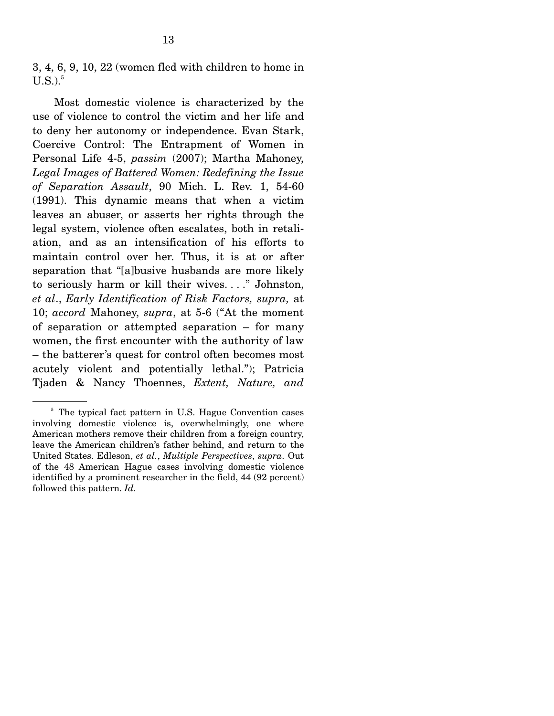3, 4, 6, 9, 10, 22 (women fled with children to home in  $\mathrm{U.S.}.5$ 

 Most domestic violence is characterized by the use of violence to control the victim and her life and to deny her autonomy or independence. Evan Stark, Coercive Control: The Entrapment of Women in Personal Life 4-5, *passim* (2007); Martha Mahoney, *Legal Images of Battered Women: Redefining the Issue of Separation Assault*, 90 Mich. L. Rev. 1, 54-60 (1991). This dynamic means that when a victim leaves an abuser, or asserts her rights through the legal system, violence often escalates, both in retaliation, and as an intensification of his efforts to maintain control over her. Thus, it is at or after separation that "[a]busive husbands are more likely to seriously harm or kill their wives. . . ." Johnston, *et al*., *Early Identification of Risk Factors, supra,* at 10; *accord* Mahoney, *supra*, at 5-6 ("At the moment of separation or attempted separation – for many women, the first encounter with the authority of law – the batterer's quest for control often becomes most acutely violent and potentially lethal."); Patricia Tjaden & Nancy Thoennes, *Extent, Nature, and* 

<sup>&</sup>lt;sup>5</sup> The typical fact pattern in U.S. Hague Convention cases involving domestic violence is, overwhelmingly, one where American mothers remove their children from a foreign country, leave the American children's father behind, and return to the United States. Edleson, *et al.*, *Multiple Perspectives*, *supra*. Out of the 48 American Hague cases involving domestic violence identified by a prominent researcher in the field, 44 (92 percent) followed this pattern. *Id.*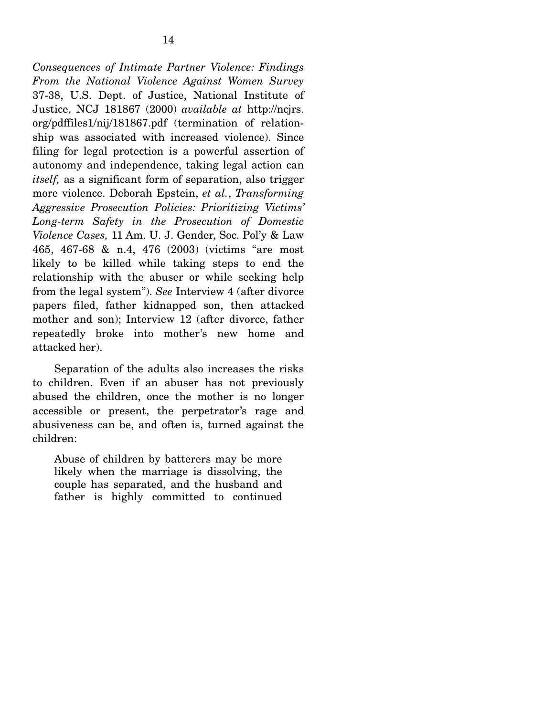*Consequences of Intimate Partner Violence: Findings From the National Violence Against Women Survey* 37-38, U.S. Dept. of Justice, National Institute of Justice, NCJ 181867 (2000) *available at* http://ncjrs. org/pdffiles1/nij/181867.pdf (termination of relationship was associated with increased violence). Since filing for legal protection is a powerful assertion of autonomy and independence, taking legal action can *itself,* as a significant form of separation, also trigger more violence. Deborah Epstein, *et al.*, *Transforming Aggressive Prosecution Policies: Prioritizing Victims' Long-term Safety in the Prosecution of Domestic Violence Cases,* 11 Am. U. J. Gender, Soc. Pol'y & Law 465, 467-68 & n.4, 476 (2003) (victims "are most likely to be killed while taking steps to end the relationship with the abuser or while seeking help from the legal system"). *See* Interview 4 (after divorce papers filed, father kidnapped son, then attacked mother and son); Interview 12 (after divorce, father repeatedly broke into mother's new home and attacked her).

 Separation of the adults also increases the risks to children. Even if an abuser has not previously abused the children, once the mother is no longer accessible or present, the perpetrator's rage and abusiveness can be, and often is, turned against the children:

Abuse of children by batterers may be more likely when the marriage is dissolving, the couple has separated, and the husband and father is highly committed to continued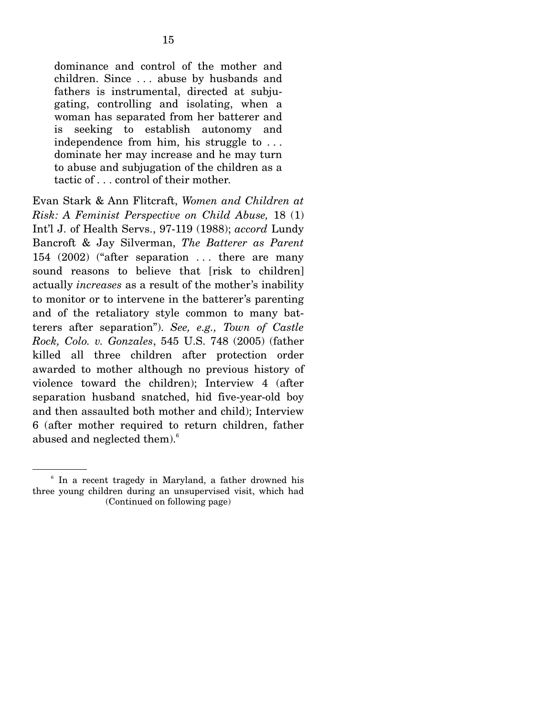dominance and control of the mother and children. Since . . . abuse by husbands and fathers is instrumental, directed at subjugating, controlling and isolating, when a woman has separated from her batterer and is seeking to establish autonomy and independence from him, his struggle to . . . dominate her may increase and he may turn to abuse and subjugation of the children as a tactic of . . . control of their mother.

Evan Stark & Ann Flitcraft, *Women and Children at Risk: A Feminist Perspective on Child Abuse,* 18 (1) Int'l J. of Health Servs., 97-119 (1988); *accord* Lundy Bancroft & Jay Silverman, *The Batterer as Parent* 154 (2002) ("after separation . . . there are many sound reasons to believe that [risk to children] actually *increases* as a result of the mother's inability to monitor or to intervene in the batterer's parenting and of the retaliatory style common to many batterers after separation"). *See, e.g., Town of Castle Rock, Colo. v. Gonzales*, 545 U.S. 748 (2005) (father killed all three children after protection order awarded to mother although no previous history of violence toward the children); Interview 4 (after separation husband snatched, hid five-year-old boy and then assaulted both mother and child); Interview 6 (after mother required to return children, father abused and neglected them).<sup>6</sup>

<sup>6</sup> In a recent tragedy in Maryland, a father drowned his three young children during an unsupervised visit, which had (Continued on following page)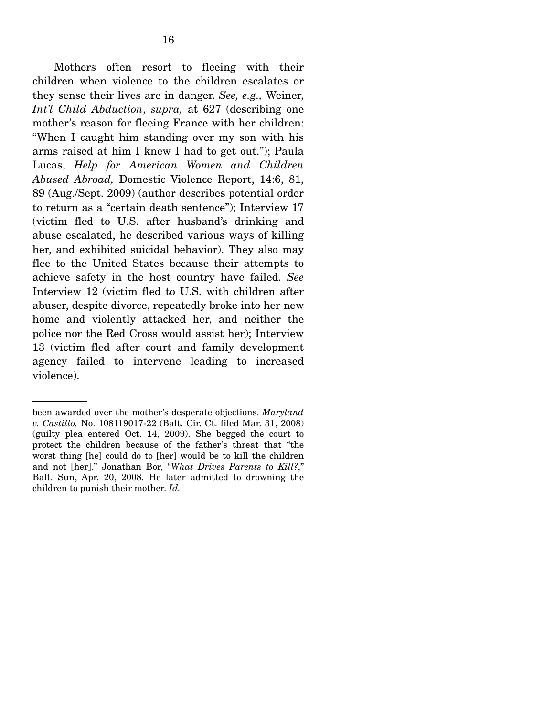Mothers often resort to fleeing with their children when violence to the children escalates or they sense their lives are in danger. *See, e.g.,* Weiner, *Int'l Child Abduction*, *supra,* at 627 (describing one mother's reason for fleeing France with her children: "When I caught him standing over my son with his arms raised at him I knew I had to get out."); Paula Lucas, *Help for American Women and Children Abused Abroad,* Domestic Violence Report, 14:6, 81, 89 (Aug./Sept. 2009) (author describes potential order to return as a "certain death sentence"); Interview 17 (victim fled to U.S. after husband's drinking and abuse escalated, he described various ways of killing her, and exhibited suicidal behavior). They also may flee to the United States because their attempts to achieve safety in the host country have failed. *See*  Interview 12 (victim fled to U.S. with children after abuser, despite divorce, repeatedly broke into her new home and violently attacked her, and neither the police nor the Red Cross would assist her); Interview 13 (victim fled after court and family development agency failed to intervene leading to increased violence).

been awarded over the mother's desperate objections. *Maryland v. Castillo,* No. 108119017-22 (Balt. Cir. Ct. filed Mar. 31, 2008) (guilty plea entered Oct. 14, 2009). She begged the court to protect the children because of the father's threat that "the worst thing [he] could do to [her] would be to kill the children and not [her]." Jonathan Bor, "*What Drives Parents to Kill?*," Balt. Sun, Apr. 20, 2008. He later admitted to drowning the children to punish their mother. *Id.*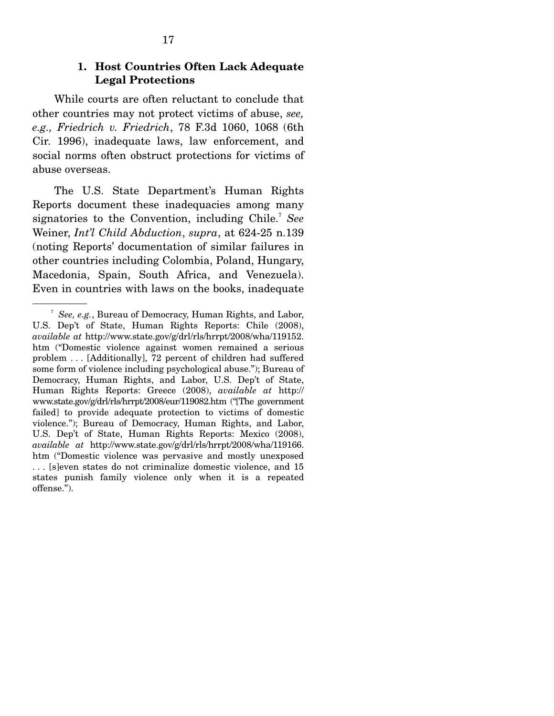While courts are often reluctant to conclude that other countries may not protect victims of abuse, *see, e.g., Friedrich v. Friedrich*, 78 F.3d 1060, 1068 (6th Cir. 1996), inadequate laws, law enforcement, and social norms often obstruct protections for victims of abuse overseas.

 The U.S. State Department's Human Rights Reports document these inadequacies among many signatories to the Convention, including Chile.<sup>7</sup> See Weiner, *Int'l Child Abduction*, *supra*, at 624-25 n.139 (noting Reports' documentation of similar failures in other countries including Colombia, Poland, Hungary, Macedonia, Spain, South Africa, and Venezuela). Even in countries with laws on the books, inadequate

<sup>7</sup> *See, e.g.*, Bureau of Democracy, Human Rights, and Labor, U.S. Dep't of State, Human Rights Reports: Chile (2008), *available at* http://www.state.gov/g/drl/rls/hrrpt/2008/wha/119152. htm ("Domestic violence against women remained a serious problem . . . [Additionally], 72 percent of children had suffered some form of violence including psychological abuse."); Bureau of Democracy, Human Rights, and Labor, U.S. Dep't of State, Human Rights Reports: Greece (2008), *available at* http:// www.state.gov/g/drl/rls/hrrpt/2008/eur/119082.htm ("[The government failed] to provide adequate protection to victims of domestic violence."); Bureau of Democracy, Human Rights, and Labor, U.S. Dep't of State, Human Rights Reports: Mexico (2008), *available at* http://www.state.gov/g/drl/rls/hrrpt/2008/wha/119166. htm ("Domestic violence was pervasive and mostly unexposed . . . [s]even states do not criminalize domestic violence, and 15 states punish family violence only when it is a repeated offense.").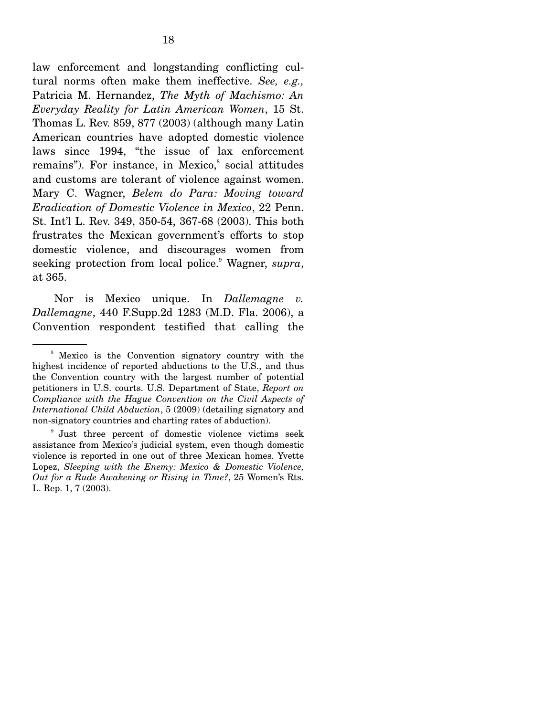law enforcement and longstanding conflicting cultural norms often make them ineffective. *See, e.g.,*  Patricia M. Hernandez, *The Myth of Machismo: An Everyday Reality for Latin American Women*, 15 St. Thomas L. Rev. 859, 877 (2003) (although many Latin American countries have adopted domestic violence laws since 1994, "the issue of lax enforcement remains"). For instance, in Mexico,<sup>8</sup> social attitudes and customs are tolerant of violence against women. Mary C. Wagner, *Belem do Para: Moving toward Eradication of Domestic Violence in Mexico*, 22 Penn. St. Int'l L. Rev. 349, 350-54, 367-68 (2003). This both frustrates the Mexican government's efforts to stop domestic violence, and discourages women from seeking protection from local police.<sup>9</sup> Wagner, *supra*, at 365.

 Nor is Mexico unique. In *Dallemagne v. Dallemagne*, 440 F.Supp.2d 1283 (M.D. Fla. 2006), a Convention respondent testified that calling the

<sup>8</sup> Mexico is the Convention signatory country with the highest incidence of reported abductions to the U.S., and thus the Convention country with the largest number of potential petitioners in U.S. courts. U.S. Department of State, *Report on Compliance with the Hague Convention on the Civil Aspects of International Child Abduction*, 5 (2009) (detailing signatory and non-signatory countries and charting rates of abduction).

<sup>9</sup> Just three percent of domestic violence victims seek assistance from Mexico's judicial system, even though domestic violence is reported in one out of three Mexican homes. Yvette Lopez, *Sleeping with the Enemy: Mexico & Domestic Violence, Out for a Rude Awakening or Rising in Time?*, 25 Women's Rts. L. Rep. 1, 7 (2003).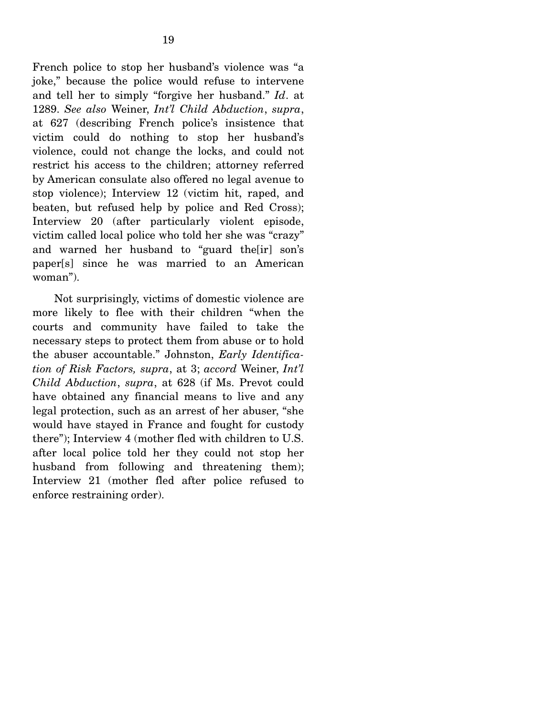French police to stop her husband's violence was "a joke," because the police would refuse to intervene and tell her to simply "forgive her husband." *Id*. at 1289. *See also* Weiner, *Int'l Child Abduction*, *supra*, at 627 (describing French police's insistence that victim could do nothing to stop her husband's violence, could not change the locks, and could not restrict his access to the children; attorney referred by American consulate also offered no legal avenue to stop violence); Interview 12 (victim hit, raped, and beaten, but refused help by police and Red Cross); Interview 20 (after particularly violent episode, victim called local police who told her she was "crazy" and warned her husband to "guard the[ir] son's paper[s] since he was married to an American woman").

 Not surprisingly, victims of domestic violence are more likely to flee with their children "when the courts and community have failed to take the necessary steps to protect them from abuse or to hold the abuser accountable." Johnston, *Early Identification of Risk Factors, supra*, at 3; *accord* Weiner, *Int'l Child Abduction*, *supra*, at 628 (if Ms. Prevot could have obtained any financial means to live and any legal protection, such as an arrest of her abuser, "she would have stayed in France and fought for custody there"); Interview 4 (mother fled with children to U.S. after local police told her they could not stop her husband from following and threatening them); Interview 21 (mother fled after police refused to enforce restraining order).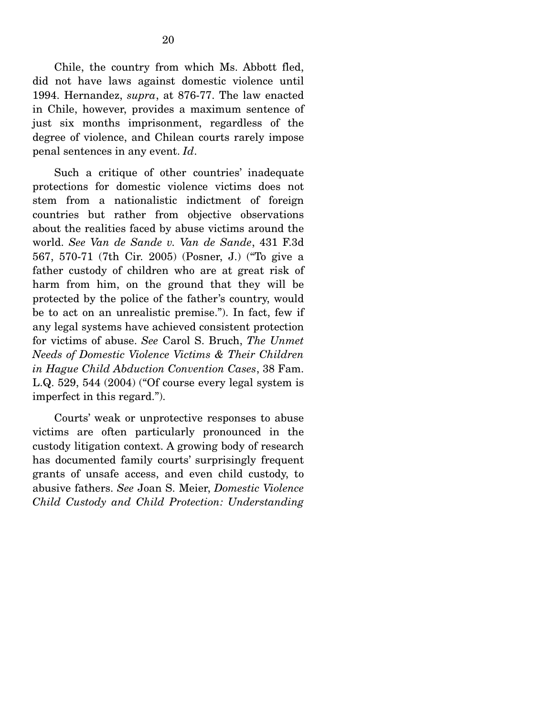Chile, the country from which Ms. Abbott fled, did not have laws against domestic violence until 1994. Hernandez, *supra*, at 876-77. The law enacted in Chile, however, provides a maximum sentence of just six months imprisonment, regardless of the degree of violence, and Chilean courts rarely impose penal sentences in any event. *Id*.

 Such a critique of other countries' inadequate protections for domestic violence victims does not stem from a nationalistic indictment of foreign countries but rather from objective observations about the realities faced by abuse victims around the world. *See Van de Sande v. Van de Sande*, 431 F.3d 567, 570-71 (7th Cir. 2005) (Posner, J.) ("To give a father custody of children who are at great risk of harm from him, on the ground that they will be protected by the police of the father's country, would be to act on an unrealistic premise."). In fact, few if any legal systems have achieved consistent protection for victims of abuse. *See* Carol S. Bruch, *The Unmet Needs of Domestic Violence Victims & Their Children in Hague Child Abduction Convention Cases*, 38 Fam. L.Q. 529, 544 (2004) ("Of course every legal system is imperfect in this regard.").

Courts' weak or unprotective responses to abuse victims are often particularly pronounced in the custody litigation context. A growing body of research has documented family courts' surprisingly frequent grants of unsafe access, and even child custody, to abusive fathers. *See* Joan S. Meier, *Domestic Violence Child Custody and Child Protection: Understanding*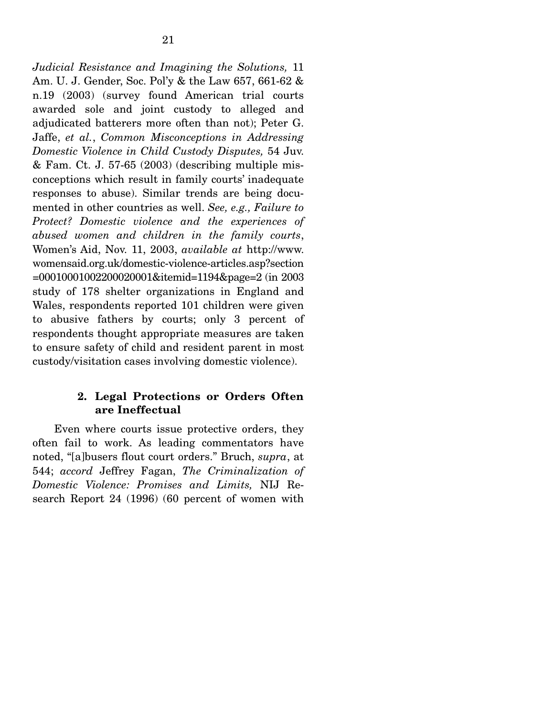*Judicial Resistance and Imagining the Solutions,* 11 Am. U. J. Gender, Soc. Pol'y & the Law 657, 661-62 & n.19 (2003) (survey found American trial courts awarded sole and joint custody to alleged and adjudicated batterers more often than not); Peter G. Jaffe, *et al.*, *Common Misconceptions in Addressing Domestic Violence in Child Custody Disputes,* 54 Juv. & Fam. Ct. J. 57-65 (2003) (describing multiple misconceptions which result in family courts' inadequate responses to abuse). Similar trends are being documented in other countries as well. *See, e.g., Failure to Protect? Domestic violence and the experiences of abused women and children in the family courts*, Women's Aid, Nov. 11, 2003, *available at* http://www. womensaid.org.uk/domestic-violence-articles.asp?section =00010001002200020001&itemid=1194&page=2 (in 2003 study of 178 shelter organizations in England and Wales, respondents reported 101 children were given to abusive fathers by courts; only 3 percent of respondents thought appropriate measures are taken to ensure safety of child and resident parent in most custody/visitation cases involving domestic violence).

### **2. Legal Protections or Orders Often are Ineffectual**

Even where courts issue protective orders, they often fail to work. As leading commentators have noted, "[a]busers flout court orders." Bruch, *supra*, at 544; *accord* Jeffrey Fagan, *The Criminalization of Domestic Violence: Promises and Limits,* NIJ Research Report 24 (1996) (60 percent of women with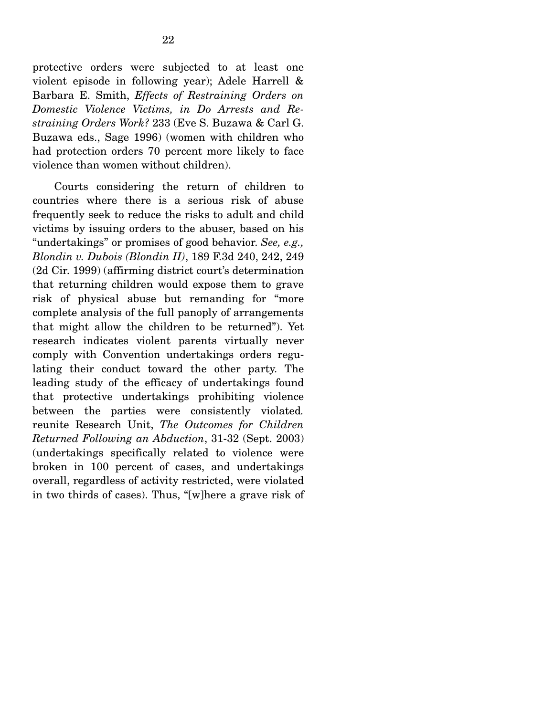protective orders were subjected to at least one violent episode in following year); Adele Harrell & Barbara E. Smith, *Effects of Restraining Orders on Domestic Violence Victims, in Do Arrests and Restraining Orders Work?* 233 (Eve S. Buzawa & Carl G. Buzawa eds., Sage 1996) (women with children who had protection orders 70 percent more likely to face violence than women without children).

 Courts considering the return of children to countries where there is a serious risk of abuse frequently seek to reduce the risks to adult and child victims by issuing orders to the abuser, based on his "undertakings" or promises of good behavior. *See, e.g., Blondin v. Dubois (Blondin II)*, 189 F.3d 240, 242, 249 (2d Cir. 1999) (affirming district court's determination that returning children would expose them to grave risk of physical abuse but remanding for "more complete analysis of the full panoply of arrangements that might allow the children to be returned"). Yet research indicates violent parents virtually never comply with Convention undertakings orders regulating their conduct toward the other party. The leading study of the efficacy of undertakings found that protective undertakings prohibiting violence between the parties were consistently violated*.* reunite Research Unit, *The Outcomes for Children Returned Following an Abduction*, 31-32 (Sept. 2003) (undertakings specifically related to violence were broken in 100 percent of cases, and undertakings overall, regardless of activity restricted, were violated in two thirds of cases). Thus, "[w]here a grave risk of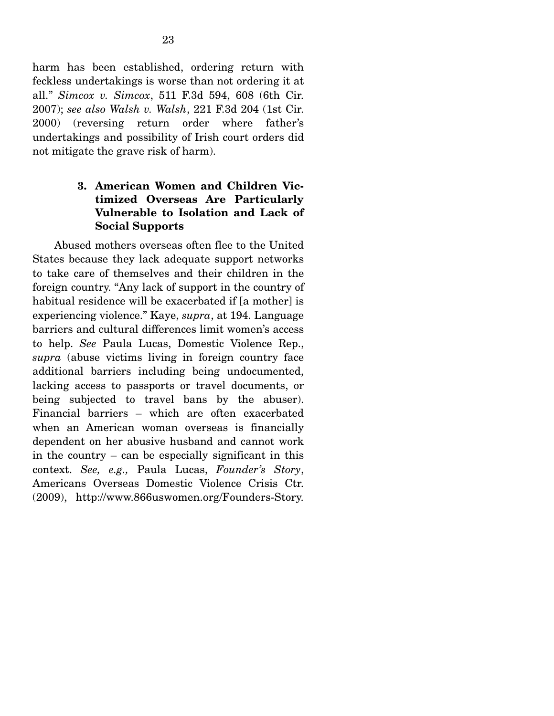harm has been established, ordering return with feckless undertakings is worse than not ordering it at all." *Simcox v. Simcox*, 511 F.3d 594, 608 (6th Cir. 2007); *see also Walsh v. Walsh*, 221 F.3d 204 (1st Cir. 2000) (reversing return order where father's undertakings and possibility of Irish court orders did not mitigate the grave risk of harm).

### **3. American Women and Children Victimized Overseas Are Particularly Vulnerable to Isolation and Lack of Social Supports**

Abused mothers overseas often flee to the United States because they lack adequate support networks to take care of themselves and their children in the foreign country. "Any lack of support in the country of habitual residence will be exacerbated if [a mother] is experiencing violence." Kaye, *supra*, at 194. Language barriers and cultural differences limit women's access to help. *See* Paula Lucas, Domestic Violence Rep., *supra* (abuse victims living in foreign country face additional barriers including being undocumented, lacking access to passports or travel documents, or being subjected to travel bans by the abuser). Financial barriers – which are often exacerbated when an American woman overseas is financially dependent on her abusive husband and cannot work in the country – can be especially significant in this context. *See, e.g.,* Paula Lucas, *Founder's Story*, Americans Overseas Domestic Violence Crisis Ctr. (2009), http://www.866uswomen.org/Founders-Story.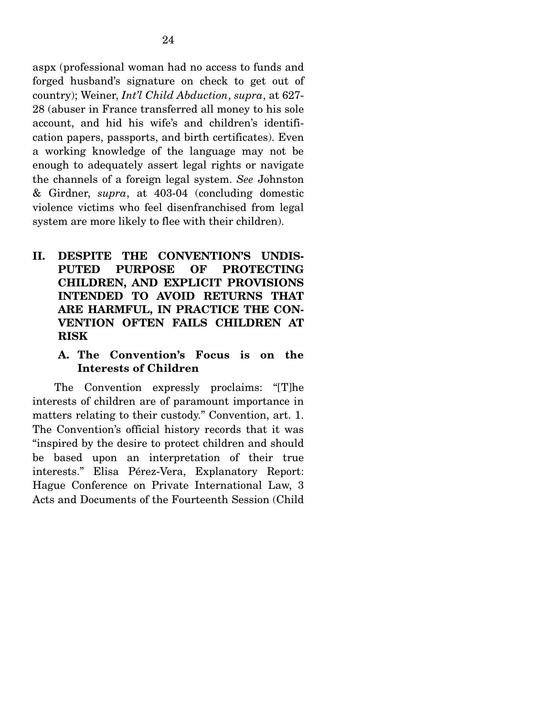aspx (professional woman had no access to funds and forged husband's signature on check to get out of country); Weiner, *Int'l Child Abduction*, *supra*, at 627- 28 (abuser in France transferred all money to his sole account, and hid his wife's and children's identification papers, passports, and birth certificates). Even a working knowledge of the language may not be enough to adequately assert legal rights or navigate the channels of a foreign legal system. *See* Johnston & Girdner, *supra*, at 403-04 (concluding domestic violence victims who feel disenfranchised from legal system are more likely to flee with their children).

**II. DESPITE THE CONVENTION'S UNDIS-PUTED PURPOSE OF PROTECTING CHILDREN, AND EXPLICIT PROVISIONS INTENDED TO AVOID RETURNS THAT ARE HARMFUL, IN PRACTICE THE CON-VENTION OFTEN FAILS CHILDREN AT RISK** 

#### **A. The Convention's Focus is on the Interests of Children**

The Convention expressly proclaims: "[T]he interests of children are of paramount importance in matters relating to their custody." Convention, art. 1. The Convention's official history records that it was "inspired by the desire to protect children and should be based upon an interpretation of their true interests." Elisa Pérez-Vera, Explanatory Report: Hague Conference on Private International Law, 3 Acts and Documents of the Fourteenth Session (Child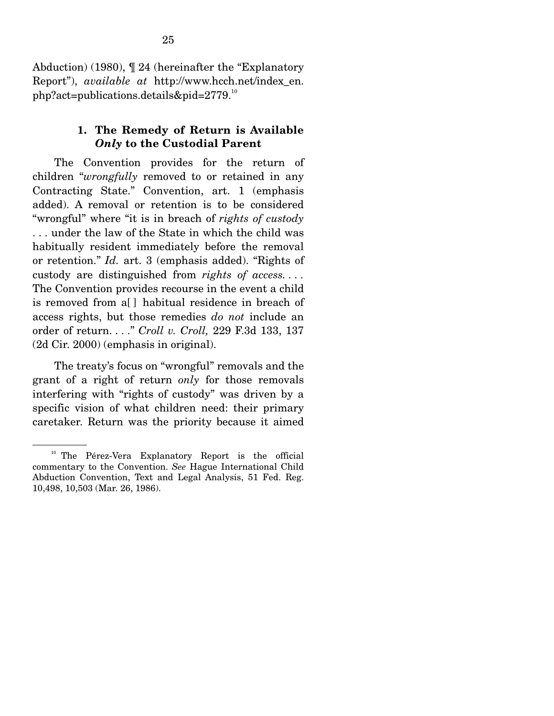Abduction) (1980), ¶ 24 (hereinafter the "Explanatory Report"), *available at* http://www.hcch.net/index\_en. php?act=publications.details $\&$ pid=2779.<sup>10</sup>

### **1. The Remedy of Return is Available**  *Only* **to the Custodial Parent**

 The Convention provides for the return of children "*wrongfully* removed to or retained in any Contracting State." Convention, art. 1 (emphasis added). A removal or retention is to be considered "wrongful" where "it is in breach of *rights of custody* . . . under the law of the State in which the child was habitually resident immediately before the removal or retention." *Id.* art. 3 (emphasis added). "Rights of custody are distinguished from *rights of access. . . .*  The Convention provides recourse in the event a child is removed from a[ ] habitual residence in breach of access rights, but those remedies *do not* include an order of return. . . ." *Croll v. Croll,* 229 F.3d 133, 137 (2d Cir. 2000) (emphasis in original).

 The treaty's focus on "wrongful" removals and the grant of a right of return *only* for those removals interfering with "rights of custody" was driven by a specific vision of what children need: their primary caretaker. Return was the priority because it aimed

<sup>&</sup>lt;sup>10</sup> The Pérez-Vera Explanatory Report is the official commentary to the Convention. *See* Hague International Child Abduction Convention, Text and Legal Analysis, 51 Fed. Reg. 10,498, 10,503 (Mar. 26, 1986).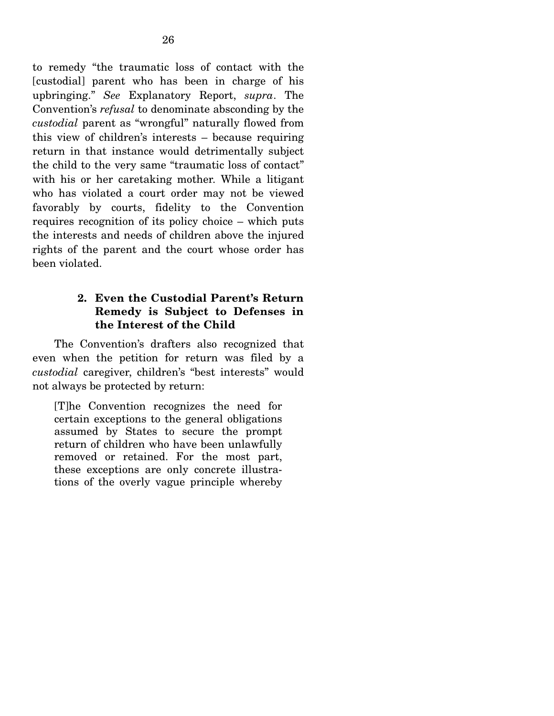to remedy "the traumatic loss of contact with the [custodial] parent who has been in charge of his upbringing." *See* Explanatory Report, *supra*. The Convention's *refusal* to denominate absconding by the *custodial* parent as "wrongful" naturally flowed from this view of children's interests – because requiring return in that instance would detrimentally subject the child to the very same "traumatic loss of contact" with his or her caretaking mother. While a litigant who has violated a court order may not be viewed favorably by courts, fidelity to the Convention requires recognition of its policy choice – which puts the interests and needs of children above the injured rights of the parent and the court whose order has been violated.

# **2. Even the Custodial Parent's Return Remedy is Subject to Defenses in the Interest of the Child**

The Convention's drafters also recognized that even when the petition for return was filed by a *custodial* caregiver, children's "best interests" would not always be protected by return:

[T]he Convention recognizes the need for certain exceptions to the general obligations assumed by States to secure the prompt return of children who have been unlawfully removed or retained. For the most part, these exceptions are only concrete illustrations of the overly vague principle whereby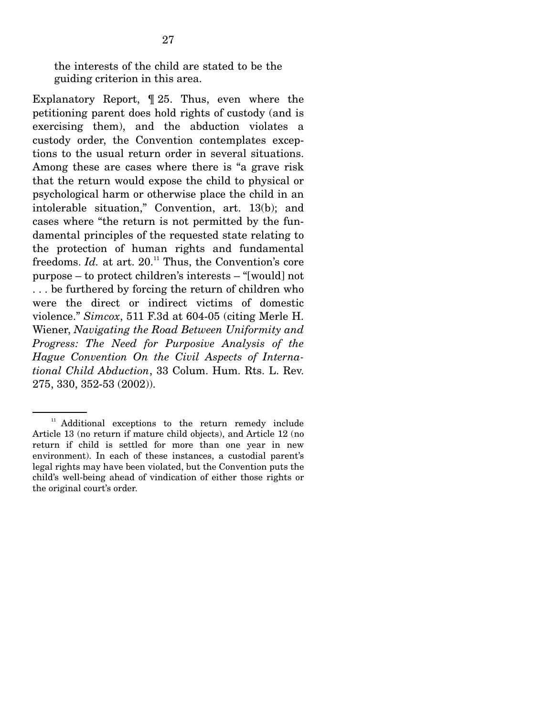the interests of the child are stated to be the guiding criterion in this area.

Explanatory Report, ¶ 25. Thus, even where the petitioning parent does hold rights of custody (and is exercising them), and the abduction violates a custody order, the Convention contemplates exceptions to the usual return order in several situations. Among these are cases where there is "a grave risk that the return would expose the child to physical or psychological harm or otherwise place the child in an intolerable situation," Convention, art. 13(b); and cases where "the return is not permitted by the fundamental principles of the requested state relating to the protection of human rights and fundamental freedoms. *Id.* at art. 20.<sup>11</sup> Thus, the Convention's core purpose – to protect children's interests – "[would] not . . . be furthered by forcing the return of children who were the direct or indirect victims of domestic violence." *Simcox*, 511 F.3d at 604-05 (citing Merle H. Wiener, *Navigating the Road Between Uniformity and Progress: The Need for Purposive Analysis of the Hague Convention On the Civil Aspects of International Child Abduction*, 33 Colum. Hum. Rts. L. Rev. 275, 330, 352-53 (2002)).

 $11$  Additional exceptions to the return remedy include Article 13 (no return if mature child objects), and Article 12 (no return if child is settled for more than one year in new environment). In each of these instances, a custodial parent's legal rights may have been violated, but the Convention puts the child's well-being ahead of vindication of either those rights or the original court's order.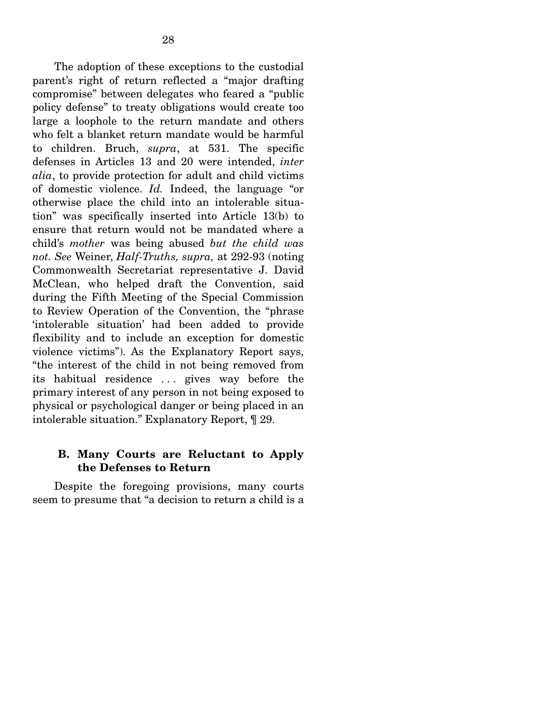The adoption of these exceptions to the custodial parent's right of return reflected a "major drafting compromise" between delegates who feared a "public policy defense" to treaty obligations would create too large a loophole to the return mandate and others who felt a blanket return mandate would be harmful to children. Bruch, *supra*, at 531. The specific defenses in Articles 13 and 20 were intended, *inter alia*, to provide protection for adult and child victims of domestic violence. *Id.* Indeed, the language "or otherwise place the child into an intolerable situation" was specifically inserted into Article 13(b) to ensure that return would not be mandated where a child's *mother* was being abused *but the child was not. See* Weiner, *Half-Truths, supra,* at 292-93 (noting Commonwealth Secretariat representative J. David McClean, who helped draft the Convention, said during the Fifth Meeting of the Special Commission to Review Operation of the Convention, the "phrase 'intolerable situation' had been added to provide flexibility and to include an exception for domestic violence victims"). As the Explanatory Report says, "the interest of the child in not being removed from its habitual residence . . . gives way before the primary interest of any person in not being exposed to physical or psychological danger or being placed in an intolerable situation." Explanatory Report, ¶ 29.

# **B. Many Courts are Reluctant to Apply the Defenses to Return**

 Despite the foregoing provisions, many courts seem to presume that "a decision to return a child is a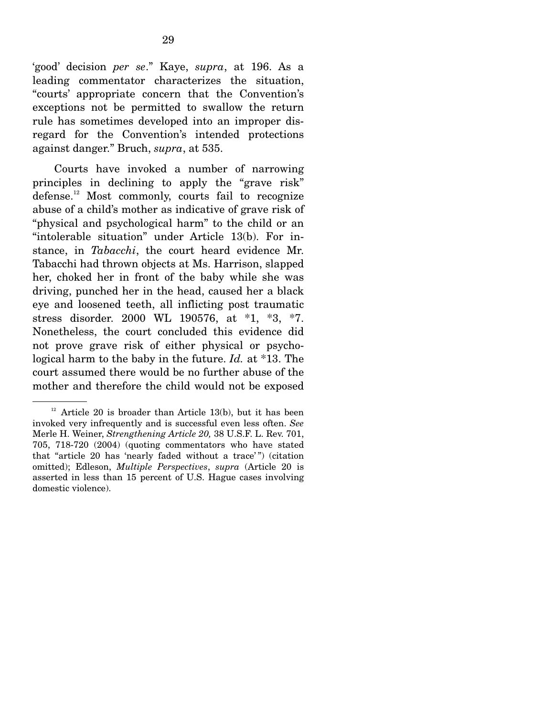'good' decision *per se*." Kaye, *supra*, at 196. As a leading commentator characterizes the situation, "courts' appropriate concern that the Convention's exceptions not be permitted to swallow the return rule has sometimes developed into an improper disregard for the Convention's intended protections against danger." Bruch, *supra*, at 535.

 Courts have invoked a number of narrowing principles in declining to apply the "grave risk" defense.<sup>12</sup> Most commonly, courts fail to recognize abuse of a child's mother as indicative of grave risk of "physical and psychological harm" to the child or an "intolerable situation" under Article 13(b). For instance, in *Tabacchi*, the court heard evidence Mr. Tabacchi had thrown objects at Ms. Harrison, slapped her, choked her in front of the baby while she was driving, punched her in the head, caused her a black eye and loosened teeth, all inflicting post traumatic stress disorder. 2000 WL 190576, at \*1, \*3, \*7. Nonetheless, the court concluded this evidence did not prove grave risk of either physical or psychological harm to the baby in the future. *Id.* at \*13. The court assumed there would be no further abuse of the mother and therefore the child would not be exposed

 $12$  Article 20 is broader than Article 13(b), but it has been invoked very infrequently and is successful even less often. *See*  Merle H. Weiner, *Strengthening Article 20,* 38 U.S.F. L. Rev. 701, 705, 718-720 (2004) (quoting commentators who have stated that "article 20 has 'nearly faded without a trace' ") (citation omitted); Edleson, *Multiple Perspectives*, *supra* (Article 20 is asserted in less than 15 percent of U.S. Hague cases involving domestic violence).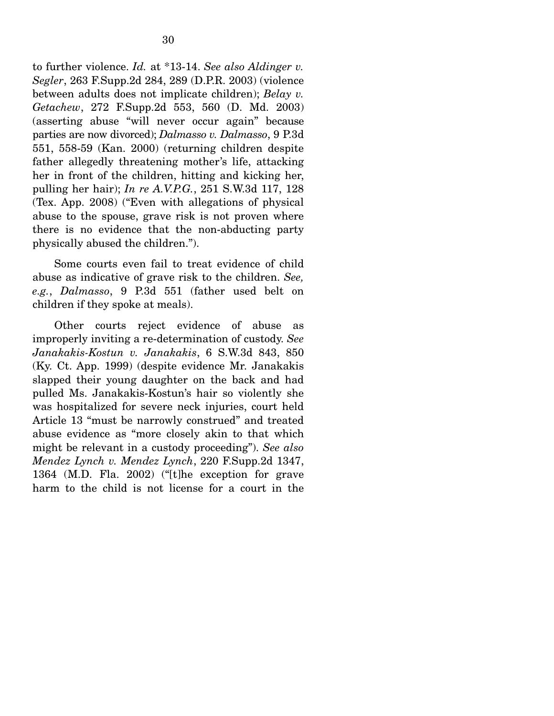to further violence. *Id.* at \*13-14. *See also Aldinger v. Segler*, 263 F.Supp.2d 284, 289 (D.P.R. 2003) (violence between adults does not implicate children); *Belay v. Getachew*, 272 F.Supp.2d 553, 560 (D. Md. 2003) (asserting abuse "will never occur again" because parties are now divorced); *Dalmasso v. Dalmasso*, 9 P.3d 551, 558-59 (Kan. 2000) (returning children despite father allegedly threatening mother's life, attacking her in front of the children, hitting and kicking her, pulling her hair); *In re A.V.P.G.*, 251 S.W.3d 117, 128 (Tex. App. 2008) ("Even with allegations of physical abuse to the spouse, grave risk is not proven where there is no evidence that the non-abducting party physically abused the children.").

Some courts even fail to treat evidence of child abuse as indicative of grave risk to the children. *See, e.g.*, *Dalmasso*, 9 P.3d 551 (father used belt on children if they spoke at meals).

 Other courts reject evidence of abuse as improperly inviting a re-determination of custody. *See Janakakis-Kostun v. Janakakis*, 6 S.W.3d 843, 850 (Ky. Ct. App. 1999) (despite evidence Mr. Janakakis slapped their young daughter on the back and had pulled Ms. Janakakis-Kostun's hair so violently she was hospitalized for severe neck injuries, court held Article 13 "must be narrowly construed" and treated abuse evidence as "more closely akin to that which might be relevant in a custody proceeding"). *See also Mendez Lynch v. Mendez Lynch*, 220 F.Supp.2d 1347, 1364 (M.D. Fla. 2002) ("[t]he exception for grave harm to the child is not license for a court in the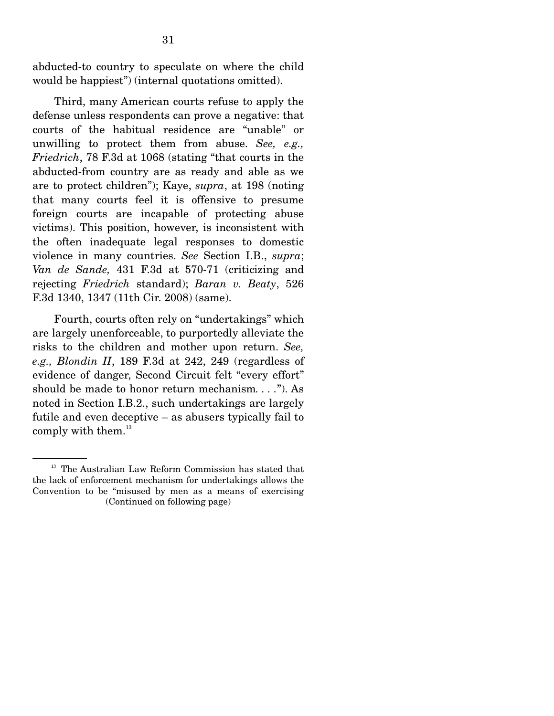abducted-to country to speculate on where the child would be happiest") (internal quotations omitted).

Third, many American courts refuse to apply the defense unless respondents can prove a negative: that courts of the habitual residence are "unable" or unwilling to protect them from abuse. *See, e.g., Friedrich*, 78 F.3d at 1068 (stating "that courts in the abducted-from country are as ready and able as we are to protect children"); Kaye, *supra*, at 198 (noting that many courts feel it is offensive to presume foreign courts are incapable of protecting abuse victims). This position, however, is inconsistent with the often inadequate legal responses to domestic violence in many countries. *See* Section I.B., *supra*; *Van de Sande,* 431 F.3d at 570-71 (criticizing and rejecting *Friedrich* standard); *Baran v. Beaty*, 526 F.3d 1340, 1347 (11th Cir. 2008) (same).

 Fourth, courts often rely on "undertakings" which are largely unenforceable, to purportedly alleviate the risks to the children and mother upon return. *See, e.g., Blondin II*, 189 F.3d at 242, 249 (regardless of evidence of danger, Second Circuit felt "every effort" should be made to honor return mechanism*. . . .*"). As noted in Section I.B.2., such undertakings are largely futile and even deceptive – as abusers typically fail to  $\text{complex with them.}^{13}$ 

<sup>&</sup>lt;sup>13</sup> The Australian Law Reform Commission has stated that the lack of enforcement mechanism for undertakings allows the Convention to be "misused by men as a means of exercising (Continued on following page)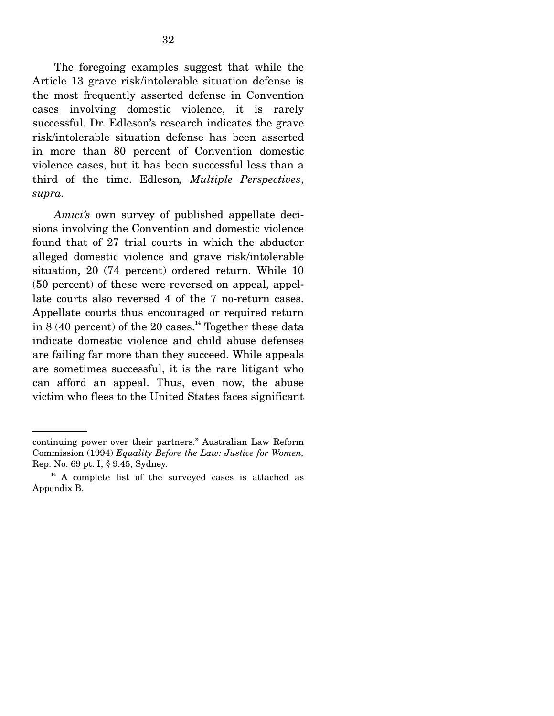The foregoing examples suggest that while the Article 13 grave risk/intolerable situation defense is the most frequently asserted defense in Convention cases involving domestic violence, it is rarely successful. Dr. Edleson's research indicates the grave risk/intolerable situation defense has been asserted in more than 80 percent of Convention domestic violence cases, but it has been successful less than a third of the time. Edleson*, Multiple Perspectives*, *supra.* 

*Amici's* own survey of published appellate decisions involving the Convention and domestic violence found that of 27 trial courts in which the abductor alleged domestic violence and grave risk/intolerable situation, 20 (74 percent) ordered return. While 10 (50 percent) of these were reversed on appeal, appellate courts also reversed 4 of the 7 no-return cases. Appellate courts thus encouraged or required return in 8 (40 percent) of the 20 cases.<sup>14</sup> Together these data indicate domestic violence and child abuse defenses are failing far more than they succeed. While appeals are sometimes successful, it is the rare litigant who can afford an appeal. Thus, even now, the abuse victim who flees to the United States faces significant

continuing power over their partners." Australian Law Reform Commission (1994) *Equality Before the Law: Justice for Women,* Rep. No. 69 pt. I, § 9.45, Sydney.

 $14$  A complete list of the surveyed cases is attached as Appendix B.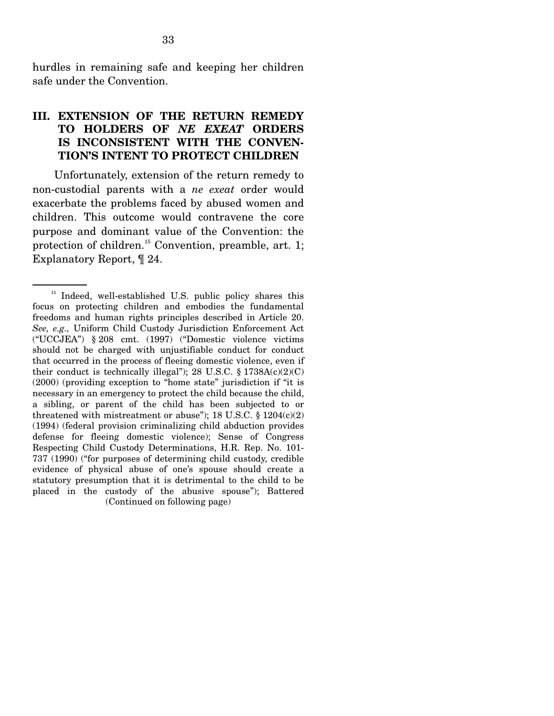hurdles in remaining safe and keeping her children safe under the Convention.

# **III. EXTENSION OF THE RETURN REMEDY TO HOLDERS OF** *NE EXEAT* **ORDERS IS INCONSISTENT WITH THE CONVEN-TION'S INTENT TO PROTECT CHILDREN**

Unfortunately, extension of the return remedy to non-custodial parents with a *ne exeat* order would exacerbate the problems faced by abused women and children. This outcome would contravene the core purpose and dominant value of the Convention: the protection of children.<sup>15</sup> Convention, preamble, art. 1; Explanatory Report, ¶ 24.

<sup>&</sup>lt;sup>15</sup> Indeed, well-established U.S. public policy shares this focus on protecting children and embodies the fundamental freedoms and human rights principles described in Article 20. *See, e.g.,* Uniform Child Custody Jurisdiction Enforcement Act ("UCCJEA") § 208 cmt. (1997) ("Domestic violence victims should not be charged with unjustifiable conduct for conduct that occurred in the process of fleeing domestic violence, even if their conduct is technically illegal"); 28 U.S.C.  $\S$  1738A(c)(2)(C) (2000) (providing exception to "home state" jurisdiction if "it is necessary in an emergency to protect the child because the child, a sibling, or parent of the child has been subjected to or threatened with mistreatment or abuse"); 18 U.S.C. § 1204(c)(2) (1994) (federal provision criminalizing child abduction provides defense for fleeing domestic violence); Sense of Congress Respecting Child Custody Determinations, H.R. Rep. No. 101- 737 (1990) ("for purposes of determining child custody, credible evidence of physical abuse of one's spouse should create a statutory presumption that it is detrimental to the child to be placed in the custody of the abusive spouse"); Battered (Continued on following page)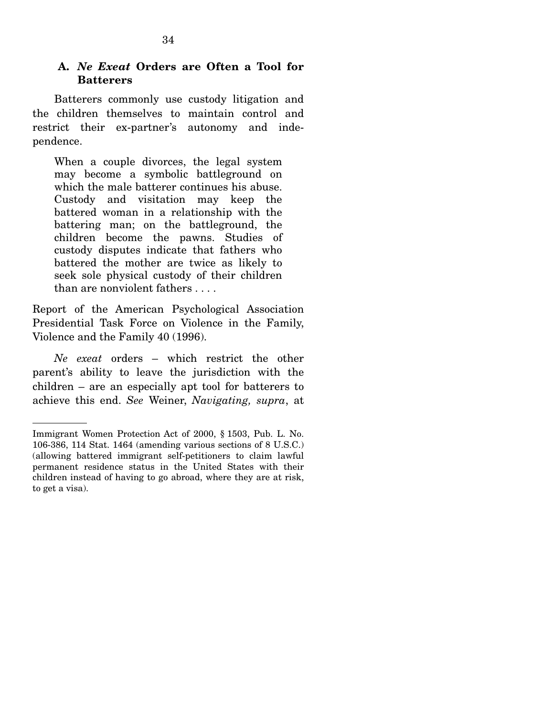### **A.** *Ne Exeat* **Orders are Often a Tool for Batterers**

Batterers commonly use custody litigation and the children themselves to maintain control and restrict their ex-partner's autonomy and independence.

When a couple divorces, the legal system may become a symbolic battleground on which the male batterer continues his abuse. Custody and visitation may keep the battered woman in a relationship with the battering man; on the battleground, the children become the pawns. Studies of custody disputes indicate that fathers who battered the mother are twice as likely to seek sole physical custody of their children than are nonviolent fathers . . . .

Report of the American Psychological Association Presidential Task Force on Violence in the Family, Violence and the Family 40 (1996).

*Ne exeat* orders – which restrict the other parent's ability to leave the jurisdiction with the children – are an especially apt tool for batterers to achieve this end. *See* Weiner, *Navigating, supra*, at

Immigrant Women Protection Act of 2000, § 1503, Pub. L. No. 106-386, 114 Stat. 1464 (amending various sections of 8 U.S.C.) (allowing battered immigrant self-petitioners to claim lawful permanent residence status in the United States with their children instead of having to go abroad, where they are at risk, to get a visa).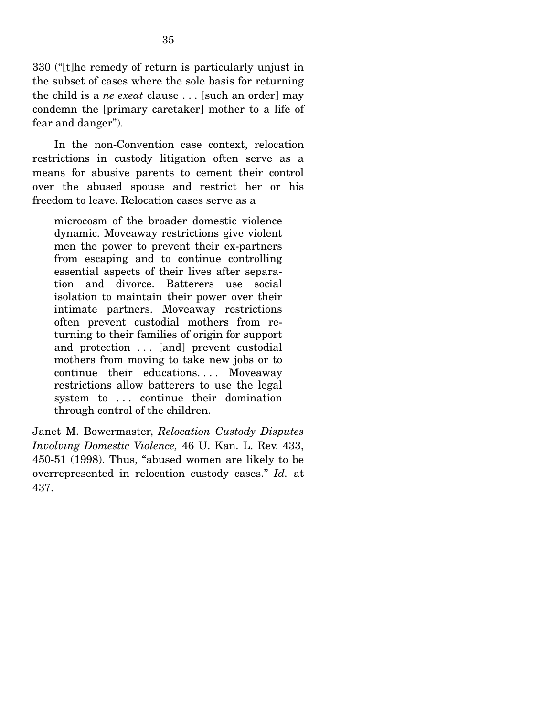330 ("[t]he remedy of return is particularly unjust in the subset of cases where the sole basis for returning the child is a *ne exeat* clause . . . [such an order] may condemn the [primary caretaker] mother to a life of fear and danger").

 In the non-Convention case context, relocation restrictions in custody litigation often serve as a means for abusive parents to cement their control over the abused spouse and restrict her or his freedom to leave. Relocation cases serve as a

microcosm of the broader domestic violence dynamic. Moveaway restrictions give violent men the power to prevent their ex-partners from escaping and to continue controlling essential aspects of their lives after separation and divorce. Batterers use social isolation to maintain their power over their intimate partners. Moveaway restrictions often prevent custodial mothers from returning to their families of origin for support and protection ... [and] prevent custodial mothers from moving to take new jobs or to continue their educations.... Moveaway restrictions allow batterers to use the legal system to ... continue their domination through control of the children.

Janet M. Bowermaster, *Relocation Custody Disputes Involving Domestic Violence,* 46 U. Kan. L. Rev. 433, 450-51 (1998). Thus, "abused women are likely to be overrepresented in relocation custody cases." *Id.* at 437.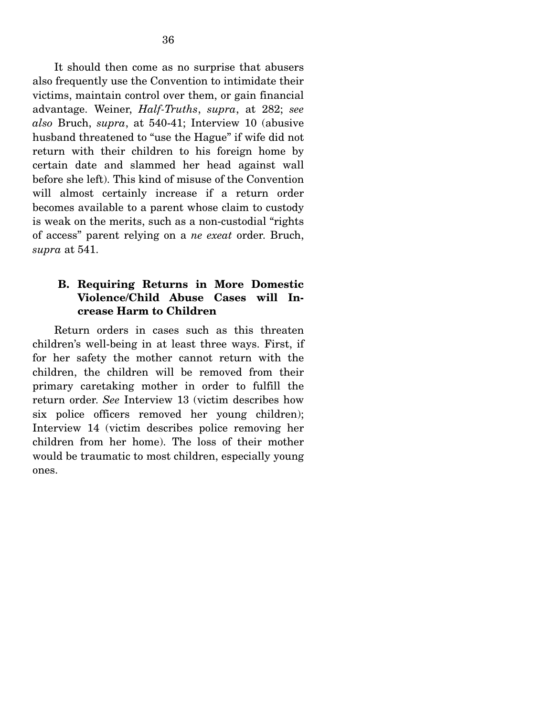It should then come as no surprise that abusers also frequently use the Convention to intimidate their victims, maintain control over them, or gain financial advantage. Weiner, *Half-Truths*, *supra*, at 282; *see also* Bruch, *supra*, at 540-41; Interview 10 (abusive husband threatened to "use the Hague" if wife did not return with their children to his foreign home by certain date and slammed her head against wall before she left). This kind of misuse of the Convention will almost certainly increase if a return order becomes available to a parent whose claim to custody is weak on the merits, such as a non-custodial "rights of access" parent relying on a *ne exeat* order. Bruch, *supra* at 541.

### **B. Requiring Returns in More Domestic Violence/Child Abuse Cases will Increase Harm to Children**

Return orders in cases such as this threaten children's well-being in at least three ways. First, if for her safety the mother cannot return with the children, the children will be removed from their primary caretaking mother in order to fulfill the return order. *See* Interview 13 (victim describes how six police officers removed her young children); Interview 14 (victim describes police removing her children from her home). The loss of their mother would be traumatic to most children, especially young ones.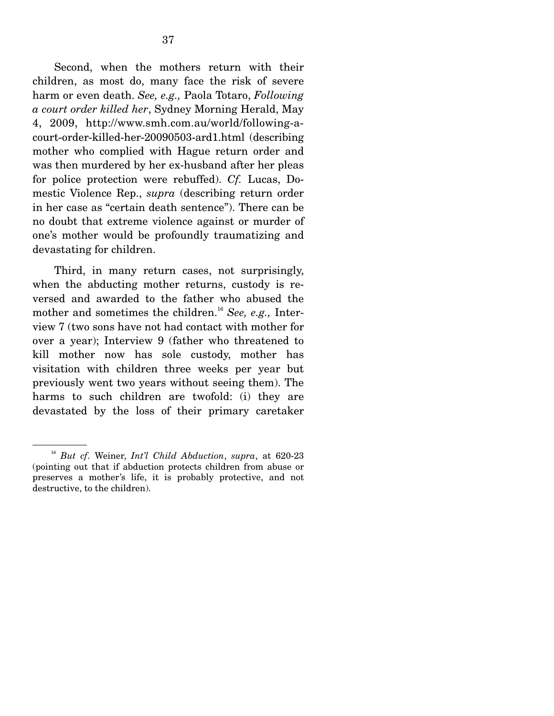Second, when the mothers return with their children, as most do, many face the risk of severe harm or even death. *See, e.g.,* Paola Totaro, *Following a court order killed her*, Sydney Morning Herald, May 4, 2009, http://www.smh.com.au/world/following-acourt-order-killed-her-20090503-ard1.html (describing mother who complied with Hague return order and was then murdered by her ex-husband after her pleas for police protection were rebuffed). *Cf.* Lucas, Domestic Violence Rep., *supra* (describing return order in her case as "certain death sentence"). There can be no doubt that extreme violence against or murder of one's mother would be profoundly traumatizing and devastating for children.

 Third, in many return cases, not surprisingly, when the abducting mother returns, custody is reversed and awarded to the father who abused the mother and sometimes the children.<sup>16</sup> *See, e.g., Inter*view 7 (two sons have not had contact with mother for over a year); Interview 9 (father who threatened to kill mother now has sole custody, mother has visitation with children three weeks per year but previously went two years without seeing them). The harms to such children are twofold: (i) they are devastated by the loss of their primary caretaker

<sup>16</sup> *But cf*. Weiner, *Int'l Child Abduction*, *supra*, at 620-23 (pointing out that if abduction protects children from abuse or preserves a mother's life, it is probably protective, and not destructive, to the children).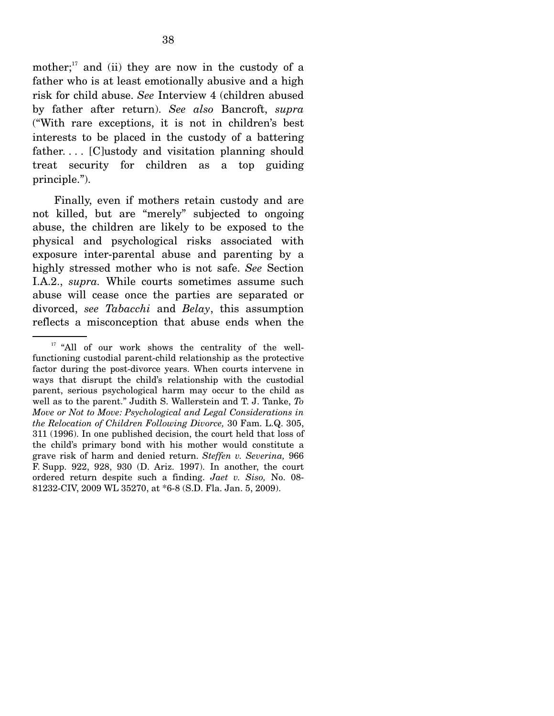mother; $17$  and (ii) they are now in the custody of a father who is at least emotionally abusive and a high risk for child abuse. *See* Interview 4 (children abused by father after return). *See also* Bancroft, *supra* ("With rare exceptions, it is not in children's best interests to be placed in the custody of a battering father.... [C]ustody and visitation planning should treat security for children as a top guiding principle.").

 Finally, even if mothers retain custody and are not killed, but are "merely" subjected to ongoing abuse, the children are likely to be exposed to the physical and psychological risks associated with exposure inter-parental abuse and parenting by a highly stressed mother who is not safe. *See* Section I.A.2., *supra.* While courts sometimes assume such abuse will cease once the parties are separated or divorced, *see Tabacchi* and *Belay*, this assumption reflects a misconception that abuse ends when the

<sup>&</sup>lt;sup>17</sup> "All of our work shows the centrality of the wellfunctioning custodial parent-child relationship as the protective factor during the post-divorce years. When courts intervene in ways that disrupt the child's relationship with the custodial parent, serious psychological harm may occur to the child as well as to the parent." Judith S. Wallerstein and T. J. Tanke, *To Move or Not to Move: Psychological and Legal Considerations in the Relocation of Children Following Divorce,* 30 Fam. L.Q. 305, 311 (1996). In one published decision, the court held that loss of the child's primary bond with his mother would constitute a grave risk of harm and denied return. *Steffen v. Severina,* 966 F. Supp. 922, 928, 930 (D. Ariz. 1997). In another, the court ordered return despite such a finding. *Jaet v. Siso,* No. 08- 81232-CIV, 2009 WL 35270, at \*6-8 (S.D. Fla. Jan. 5, 2009).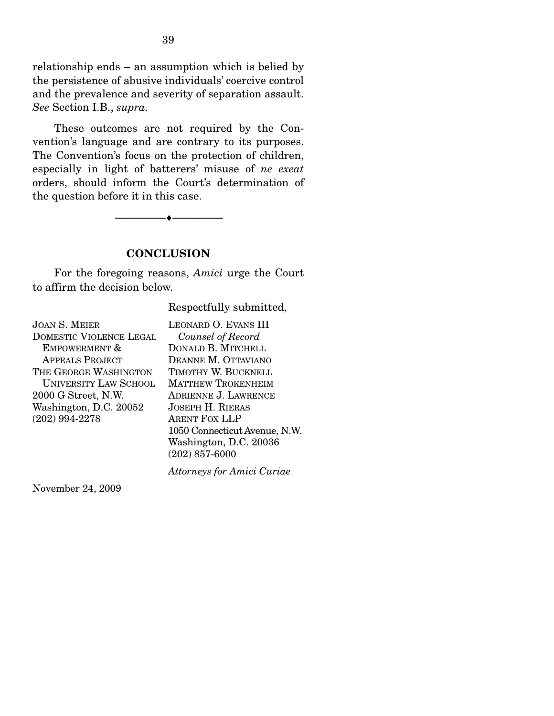relationship ends – an assumption which is belied by the persistence of abusive individuals' coercive control and the prevalence and severity of separation assault. *See* Section I.B., *supra.* 

 These outcomes are not required by the Convention's language and are contrary to its purposes. The Convention's focus on the protection of children, especially in light of batterers' misuse of *ne exeat* orders, should inform the Court's determination of the question before it in this case.

--------------------------------- ♦ ---------------------------------

### **CONCLUSION**

For the foregoing reasons, *Amici* urge the Court to affirm the decision below.

Respectfully submitted,

| <b>JOAN S. MEIER</b>           | LEONARD O. EVANS III      |
|--------------------------------|---------------------------|
| <b>DOMESTIC VIOLENCE LEGAL</b> | Counsel of Record         |
| EMPOWERMENT &                  | DONALD B. MITCHELL        |
| <b>APPEALS PROJECT</b>         | DEANNE M. OTTAVIANO       |
| THE GEORGE WASHINGTON          | TIMOTHY W. BUCKNELL       |
| <b>UNIVERSITY LAW SCHOOL</b>   | <b>MATTHEW TROKENHEIM</b> |
| 2000 G Street, N.W.            | ADRIENNE J. LAWRENCE      |
| Washington, D.C. 20052         | <b>JOSEPH H. RIERAS</b>   |
| $(202)$ 994-2278               | <b>ARENT FOX LLP</b>      |
|                                | 1050 Connecticut Avenue,  |
|                                | Washington, D.C. 20036    |
|                                | $(202)$ 857-6000          |
|                                |                           |

*Attorneys for Amici Curiae*

 $N.W.$ 

November 24, 2009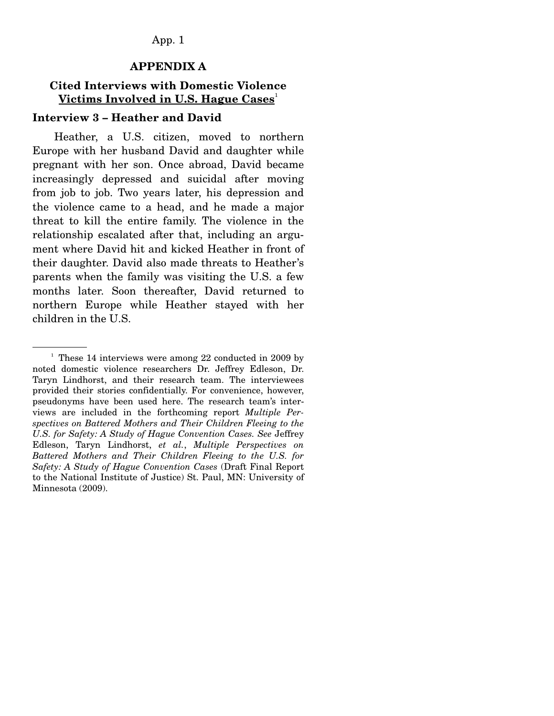#### **APPENDIX A**

# **Cited Interviews with Domestic Violence Victims Involved in U.S. Hague Cases**<sup>1</sup>

#### **Interview 3 – Heather and David**

 Heather, a U.S. citizen, moved to northern Europe with her husband David and daughter while pregnant with her son. Once abroad, David became increasingly depressed and suicidal after moving from job to job. Two years later, his depression and the violence came to a head, and he made a major threat to kill the entire family. The violence in the relationship escalated after that, including an argument where David hit and kicked Heather in front of their daughter. David also made threats to Heather's parents when the family was visiting the U.S. a few months later. Soon thereafter, David returned to northern Europe while Heather stayed with her children in the U.S.

<sup>&</sup>lt;sup>1</sup> These 14 interviews were among 22 conducted in 2009 by noted domestic violence researchers Dr. Jeffrey Edleson, Dr. Taryn Lindhorst, and their research team. The interviewees provided their stories confidentially. For convenience, however, pseudonyms have been used here. The research team's interviews are included in the forthcoming report *Multiple Perspectives on Battered Mothers and Their Children Fleeing to the U.S. for Safety: A Study of Hague Convention Cases. See* Jeffrey Edleson, Taryn Lindhorst, *et al.*, *Multiple Perspectives on Battered Mothers and Their Children Fleeing to the U.S. for Safety: A Study of Hague Convention Cases* (Draft Final Report to the National Institute of Justice) St. Paul, MN: University of Minnesota (2009).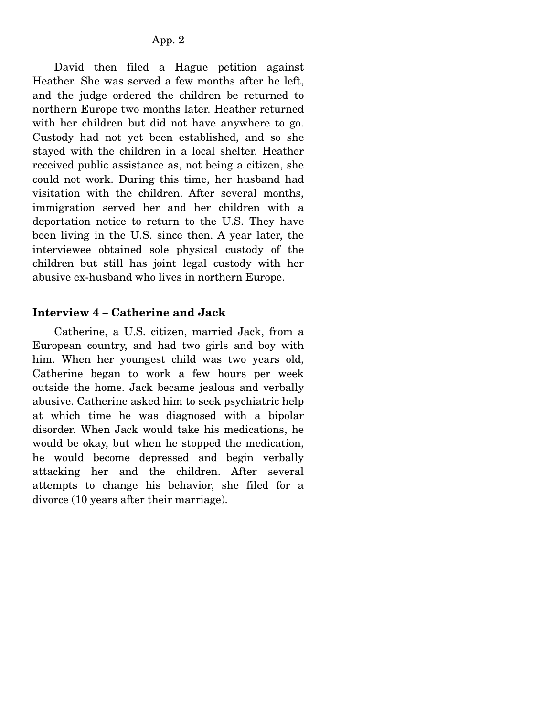David then filed a Hague petition against Heather. She was served a few months after he left, and the judge ordered the children be returned to northern Europe two months later. Heather returned with her children but did not have anywhere to go. Custody had not yet been established, and so she stayed with the children in a local shelter. Heather received public assistance as, not being a citizen, she could not work. During this time, her husband had visitation with the children. After several months, immigration served her and her children with a deportation notice to return to the U.S. They have been living in the U.S. since then. A year later, the interviewee obtained sole physical custody of the children but still has joint legal custody with her abusive ex-husband who lives in northern Europe.

# **Interview 4 – Catherine and Jack**

Catherine, a U.S. citizen, married Jack, from a European country, and had two girls and boy with him. When her youngest child was two years old, Catherine began to work a few hours per week outside the home. Jack became jealous and verbally abusive. Catherine asked him to seek psychiatric help at which time he was diagnosed with a bipolar disorder. When Jack would take his medications, he would be okay, but when he stopped the medication, he would become depressed and begin verbally attacking her and the children. After several attempts to change his behavior, she filed for a divorce (10 years after their marriage).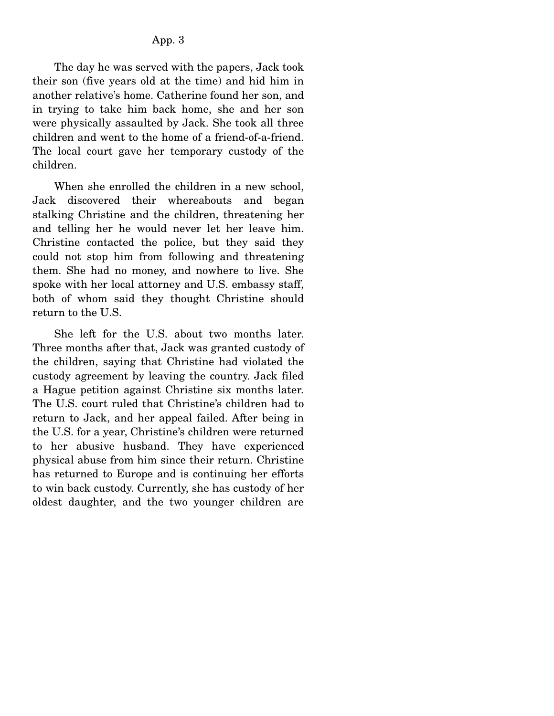The day he was served with the papers, Jack took their son (five years old at the time) and hid him in another relative's home. Catherine found her son, and in trying to take him back home, she and her son were physically assaulted by Jack. She took all three children and went to the home of a friend-of-a-friend. The local court gave her temporary custody of the children.

 When she enrolled the children in a new school, Jack discovered their whereabouts and began stalking Christine and the children, threatening her and telling her he would never let her leave him. Christine contacted the police, but they said they could not stop him from following and threatening them. She had no money, and nowhere to live. She spoke with her local attorney and U.S. embassy staff, both of whom said they thought Christine should return to the U.S.

 She left for the U.S. about two months later. Three months after that, Jack was granted custody of the children, saying that Christine had violated the custody agreement by leaving the country. Jack filed a Hague petition against Christine six months later. The U.S. court ruled that Christine's children had to return to Jack, and her appeal failed. After being in the U.S. for a year, Christine's children were returned to her abusive husband. They have experienced physical abuse from him since their return. Christine has returned to Europe and is continuing her efforts to win back custody. Currently, she has custody of her oldest daughter, and the two younger children are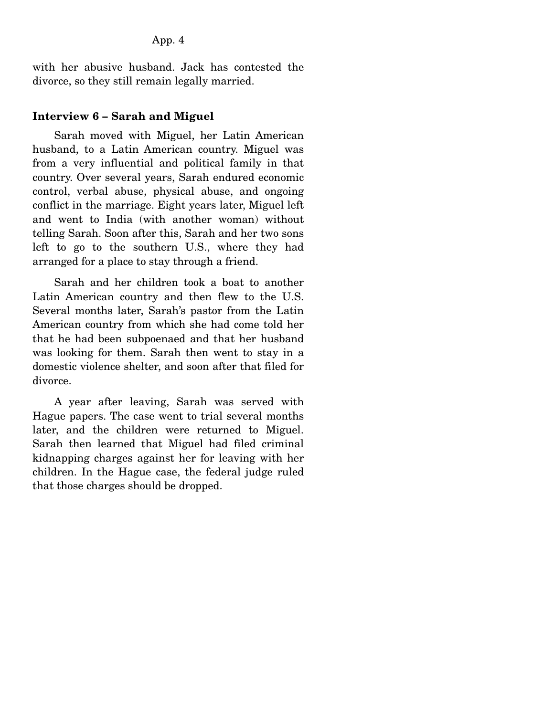with her abusive husband. Jack has contested the divorce, so they still remain legally married.

#### **Interview 6 – Sarah and Miguel**

Sarah moved with Miguel, her Latin American husband, to a Latin American country. Miguel was from a very influential and political family in that country. Over several years, Sarah endured economic control, verbal abuse, physical abuse, and ongoing conflict in the marriage. Eight years later, Miguel left and went to India (with another woman) without telling Sarah. Soon after this, Sarah and her two sons left to go to the southern U.S., where they had arranged for a place to stay through a friend.

 Sarah and her children took a boat to another Latin American country and then flew to the U.S. Several months later, Sarah's pastor from the Latin American country from which she had come told her that he had been subpoenaed and that her husband was looking for them. Sarah then went to stay in a domestic violence shelter, and soon after that filed for divorce.

 A year after leaving, Sarah was served with Hague papers. The case went to trial several months later, and the children were returned to Miguel. Sarah then learned that Miguel had filed criminal kidnapping charges against her for leaving with her children. In the Hague case, the federal judge ruled that those charges should be dropped.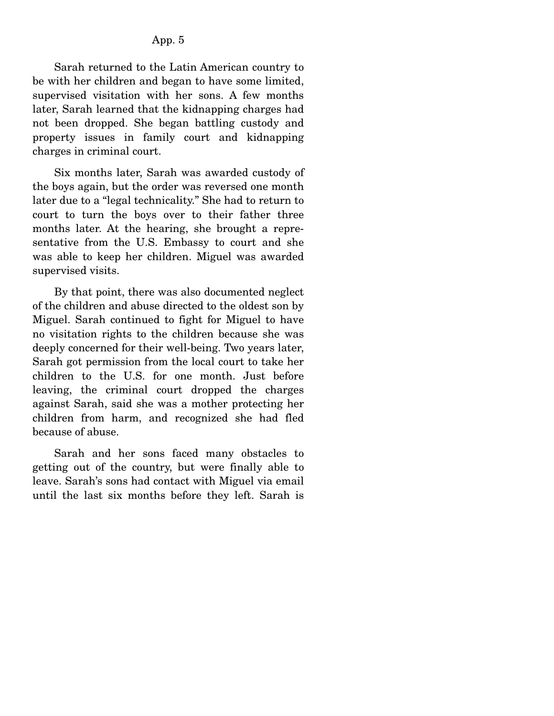Sarah returned to the Latin American country to be with her children and began to have some limited, supervised visitation with her sons. A few months later, Sarah learned that the kidnapping charges had not been dropped. She began battling custody and property issues in family court and kidnapping charges in criminal court.

 Six months later, Sarah was awarded custody of the boys again, but the order was reversed one month later due to a "legal technicality." She had to return to court to turn the boys over to their father three months later. At the hearing, she brought a representative from the U.S. Embassy to court and she was able to keep her children. Miguel was awarded supervised visits.

 By that point, there was also documented neglect of the children and abuse directed to the oldest son by Miguel. Sarah continued to fight for Miguel to have no visitation rights to the children because she was deeply concerned for their well-being. Two years later, Sarah got permission from the local court to take her children to the U.S. for one month. Just before leaving, the criminal court dropped the charges against Sarah, said she was a mother protecting her children from harm, and recognized she had fled because of abuse.

 Sarah and her sons faced many obstacles to getting out of the country, but were finally able to leave. Sarah's sons had contact with Miguel via email until the last six months before they left. Sarah is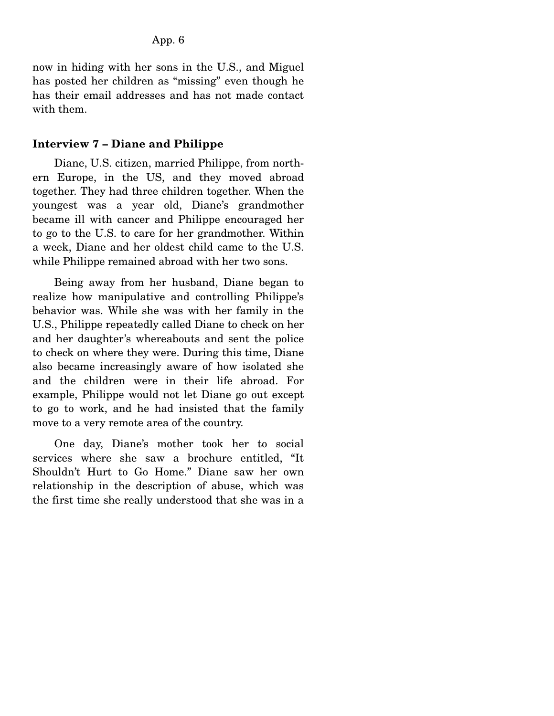now in hiding with her sons in the U.S., and Miguel has posted her children as "missing" even though he has their email addresses and has not made contact with them.

### **Interview 7 – Diane and Philippe**

Diane, U.S. citizen, married Philippe, from northern Europe, in the US, and they moved abroad together. They had three children together. When the youngest was a year old, Diane's grandmother became ill with cancer and Philippe encouraged her to go to the U.S. to care for her grandmother. Within a week, Diane and her oldest child came to the U.S. while Philippe remained abroad with her two sons.

 Being away from her husband, Diane began to realize how manipulative and controlling Philippe's behavior was. While she was with her family in the U.S., Philippe repeatedly called Diane to check on her and her daughter's whereabouts and sent the police to check on where they were. During this time, Diane also became increasingly aware of how isolated she and the children were in their life abroad. For example, Philippe would not let Diane go out except to go to work, and he had insisted that the family move to a very remote area of the country.

 One day, Diane's mother took her to social services where she saw a brochure entitled, "It Shouldn't Hurt to Go Home." Diane saw her own relationship in the description of abuse, which was the first time she really understood that she was in a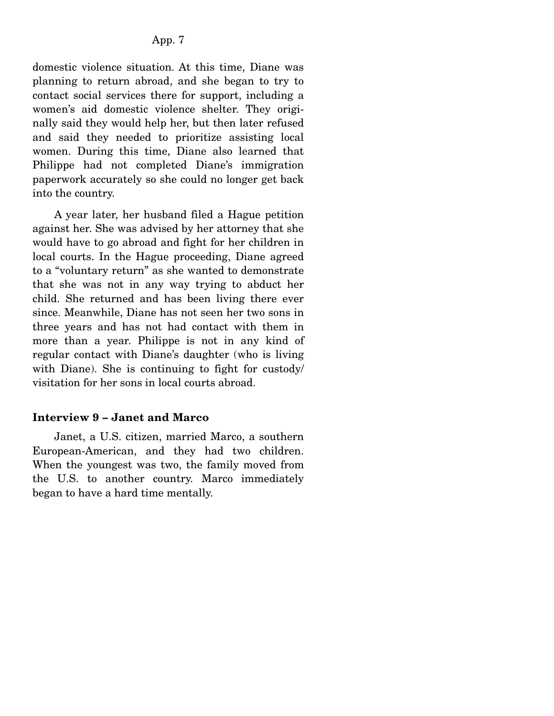domestic violence situation. At this time, Diane was planning to return abroad, and she began to try to contact social services there for support, including a women's aid domestic violence shelter. They originally said they would help her, but then later refused and said they needed to prioritize assisting local women. During this time, Diane also learned that Philippe had not completed Diane's immigration paperwork accurately so she could no longer get back into the country.

 A year later, her husband filed a Hague petition against her. She was advised by her attorney that she would have to go abroad and fight for her children in local courts. In the Hague proceeding, Diane agreed to a "voluntary return" as she wanted to demonstrate that she was not in any way trying to abduct her child. She returned and has been living there ever since. Meanwhile, Diane has not seen her two sons in three years and has not had contact with them in more than a year. Philippe is not in any kind of regular contact with Diane's daughter (who is living with Diane). She is continuing to fight for custody/ visitation for her sons in local courts abroad.

#### **Interview 9 – Janet and Marco**

Janet, a U.S. citizen, married Marco, a southern European-American, and they had two children. When the youngest was two, the family moved from the U.S. to another country. Marco immediately began to have a hard time mentally.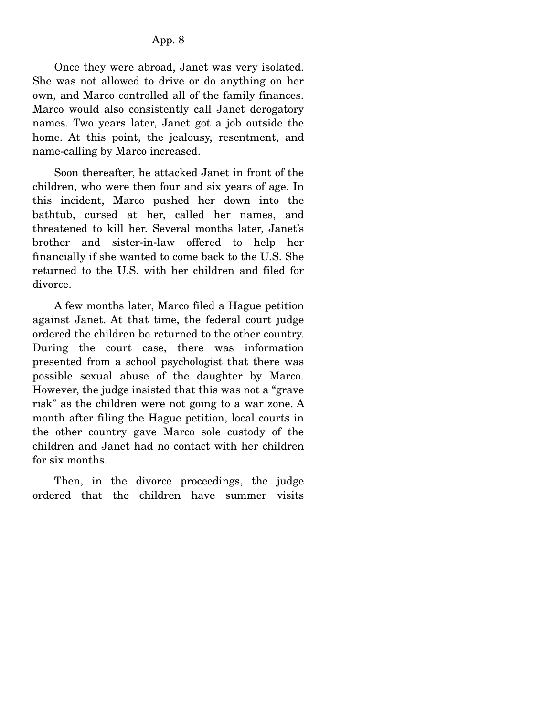Once they were abroad, Janet was very isolated. She was not allowed to drive or do anything on her own, and Marco controlled all of the family finances. Marco would also consistently call Janet derogatory names. Two years later, Janet got a job outside the home. At this point, the jealousy, resentment, and name-calling by Marco increased.

 Soon thereafter, he attacked Janet in front of the children, who were then four and six years of age. In this incident, Marco pushed her down into the bathtub, cursed at her, called her names, and threatened to kill her. Several months later, Janet's brother and sister-in-law offered to help her financially if she wanted to come back to the U.S. She returned to the U.S. with her children and filed for divorce.

 A few months later, Marco filed a Hague petition against Janet. At that time, the federal court judge ordered the children be returned to the other country. During the court case, there was information presented from a school psychologist that there was possible sexual abuse of the daughter by Marco. However, the judge insisted that this was not a "grave risk" as the children were not going to a war zone. A month after filing the Hague petition, local courts in the other country gave Marco sole custody of the children and Janet had no contact with her children for six months.

 Then, in the divorce proceedings, the judge ordered that the children have summer visits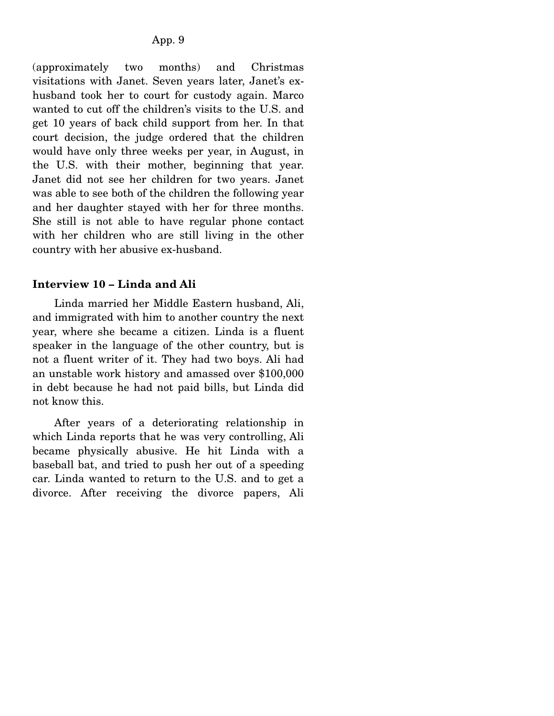(approximately two months) and Christmas visitations with Janet. Seven years later, Janet's exhusband took her to court for custody again. Marco wanted to cut off the children's visits to the U.S. and get 10 years of back child support from her. In that court decision, the judge ordered that the children would have only three weeks per year, in August, in the U.S. with their mother, beginning that year. Janet did not see her children for two years. Janet was able to see both of the children the following year and her daughter stayed with her for three months. She still is not able to have regular phone contact with her children who are still living in the other country with her abusive ex-husband.

# **Interview 10 – Linda and Ali**

 Linda married her Middle Eastern husband, Ali, and immigrated with him to another country the next year, where she became a citizen. Linda is a fluent speaker in the language of the other country, but is not a fluent writer of it. They had two boys. Ali had an unstable work history and amassed over \$100,000 in debt because he had not paid bills, but Linda did not know this.

 After years of a deteriorating relationship in which Linda reports that he was very controlling, Ali became physically abusive. He hit Linda with a baseball bat, and tried to push her out of a speeding car. Linda wanted to return to the U.S. and to get a divorce. After receiving the divorce papers, Ali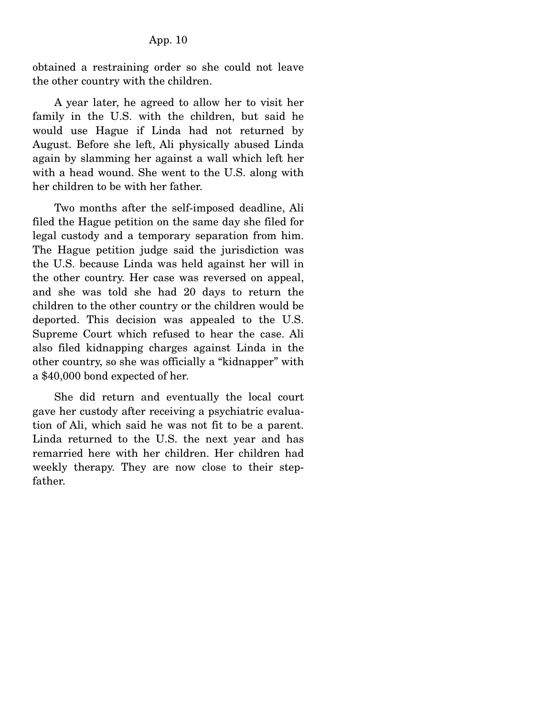obtained a restraining order so she could not leave the other country with the children.

 A year later, he agreed to allow her to visit her family in the U.S. with the children, but said he would use Hague if Linda had not returned by August. Before she left, Ali physically abused Linda again by slamming her against a wall which left her with a head wound. She went to the U.S. along with her children to be with her father.

 Two months after the self-imposed deadline, Ali filed the Hague petition on the same day she filed for legal custody and a temporary separation from him. The Hague petition judge said the jurisdiction was the U.S. because Linda was held against her will in the other country. Her case was reversed on appeal, and she was told she had 20 days to return the children to the other country or the children would be deported. This decision was appealed to the U.S. Supreme Court which refused to hear the case. Ali also filed kidnapping charges against Linda in the other country, so she was officially a "kidnapper" with a \$40,000 bond expected of her.

 She did return and eventually the local court gave her custody after receiving a psychiatric evaluation of Ali, which said he was not fit to be a parent. Linda returned to the U.S. the next year and has remarried here with her children. Her children had weekly therapy. They are now close to their stepfather.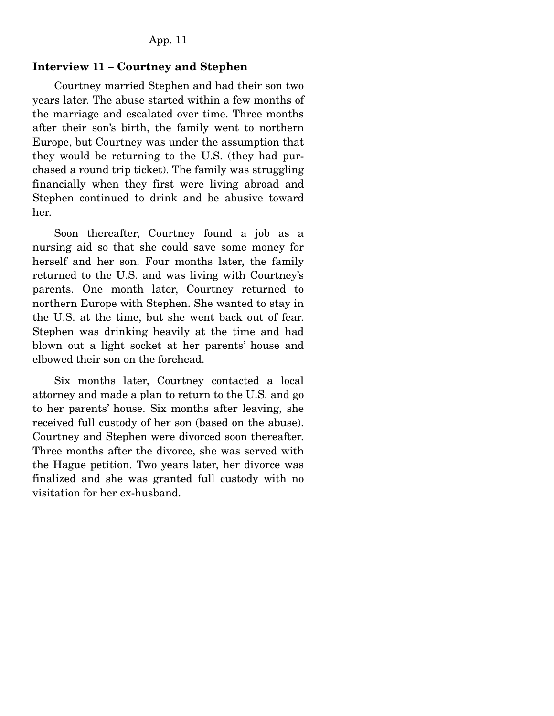### **Interview 11 – Courtney and Stephen**

Courtney married Stephen and had their son two years later. The abuse started within a few months of the marriage and escalated over time. Three months after their son's birth, the family went to northern Europe, but Courtney was under the assumption that they would be returning to the U.S. (they had purchased a round trip ticket). The family was struggling financially when they first were living abroad and Stephen continued to drink and be abusive toward her.

 Soon thereafter, Courtney found a job as a nursing aid so that she could save some money for herself and her son. Four months later, the family returned to the U.S. and was living with Courtney's parents. One month later, Courtney returned to northern Europe with Stephen. She wanted to stay in the U.S. at the time, but she went back out of fear. Stephen was drinking heavily at the time and had blown out a light socket at her parents' house and elbowed their son on the forehead.

 Six months later, Courtney contacted a local attorney and made a plan to return to the U.S. and go to her parents' house. Six months after leaving, she received full custody of her son (based on the abuse). Courtney and Stephen were divorced soon thereafter. Three months after the divorce, she was served with the Hague petition. Two years later, her divorce was finalized and she was granted full custody with no visitation for her ex-husband.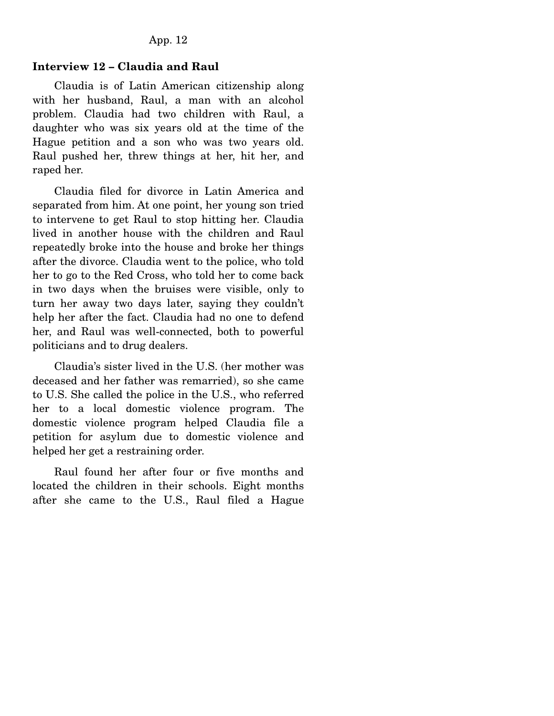# **Interview 12 – Claudia and Raul**

Claudia is of Latin American citizenship along with her husband, Raul, a man with an alcohol problem. Claudia had two children with Raul, a daughter who was six years old at the time of the Hague petition and a son who was two years old. Raul pushed her, threw things at her, hit her, and raped her.

 Claudia filed for divorce in Latin America and separated from him. At one point, her young son tried to intervene to get Raul to stop hitting her. Claudia lived in another house with the children and Raul repeatedly broke into the house and broke her things after the divorce. Claudia went to the police, who told her to go to the Red Cross, who told her to come back in two days when the bruises were visible, only to turn her away two days later, saying they couldn't help her after the fact. Claudia had no one to defend her, and Raul was well-connected, both to powerful politicians and to drug dealers.

 Claudia's sister lived in the U.S. (her mother was deceased and her father was remarried), so she came to U.S. She called the police in the U.S., who referred her to a local domestic violence program. The domestic violence program helped Claudia file a petition for asylum due to domestic violence and helped her get a restraining order.

 Raul found her after four or five months and located the children in their schools. Eight months after she came to the U.S., Raul filed a Hague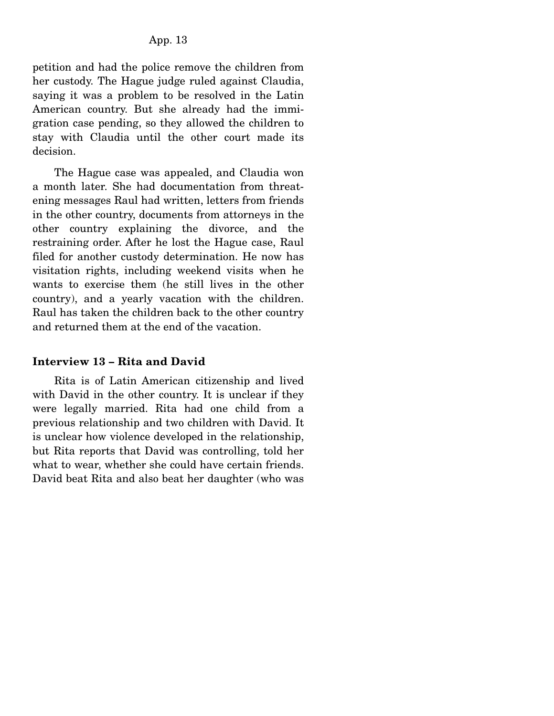petition and had the police remove the children from her custody. The Hague judge ruled against Claudia, saying it was a problem to be resolved in the Latin American country. But she already had the immigration case pending, so they allowed the children to stay with Claudia until the other court made its decision.

 The Hague case was appealed, and Claudia won a month later. She had documentation from threatening messages Raul had written, letters from friends in the other country, documents from attorneys in the other country explaining the divorce, and the restraining order. After he lost the Hague case, Raul filed for another custody determination. He now has visitation rights, including weekend visits when he wants to exercise them (he still lives in the other country), and a yearly vacation with the children. Raul has taken the children back to the other country and returned them at the end of the vacation.

### **Interview 13 – Rita and David**

Rita is of Latin American citizenship and lived with David in the other country. It is unclear if they were legally married. Rita had one child from a previous relationship and two children with David. It is unclear how violence developed in the relationship, but Rita reports that David was controlling, told her what to wear, whether she could have certain friends. David beat Rita and also beat her daughter (who was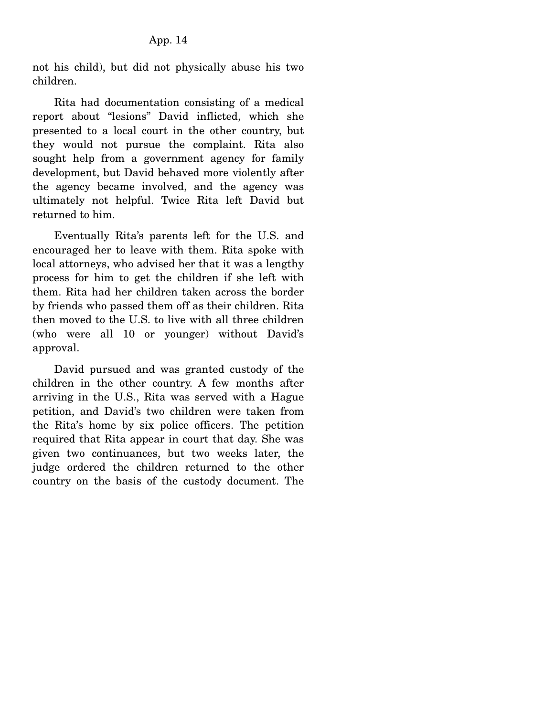not his child), but did not physically abuse his two children.

 Rita had documentation consisting of a medical report about "lesions" David inflicted, which she presented to a local court in the other country, but they would not pursue the complaint. Rita also sought help from a government agency for family development, but David behaved more violently after the agency became involved, and the agency was ultimately not helpful. Twice Rita left David but returned to him.

 Eventually Rita's parents left for the U.S. and encouraged her to leave with them. Rita spoke with local attorneys, who advised her that it was a lengthy process for him to get the children if she left with them. Rita had her children taken across the border by friends who passed them off as their children. Rita then moved to the U.S. to live with all three children (who were all 10 or younger) without David's approval.

 David pursued and was granted custody of the children in the other country. A few months after arriving in the U.S., Rita was served with a Hague petition, and David's two children were taken from the Rita's home by six police officers. The petition required that Rita appear in court that day. She was given two continuances, but two weeks later, the judge ordered the children returned to the other country on the basis of the custody document. The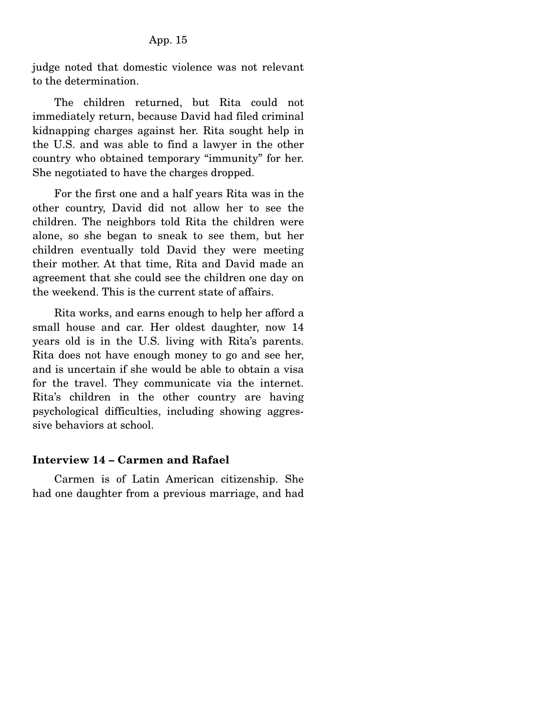judge noted that domestic violence was not relevant to the determination.

 The children returned, but Rita could not immediately return, because David had filed criminal kidnapping charges against her. Rita sought help in the U.S. and was able to find a lawyer in the other country who obtained temporary "immunity" for her. She negotiated to have the charges dropped.

 For the first one and a half years Rita was in the other country, David did not allow her to see the children. The neighbors told Rita the children were alone, so she began to sneak to see them, but her children eventually told David they were meeting their mother. At that time, Rita and David made an agreement that she could see the children one day on the weekend. This is the current state of affairs.

 Rita works, and earns enough to help her afford a small house and car. Her oldest daughter, now 14 years old is in the U.S. living with Rita's parents. Rita does not have enough money to go and see her, and is uncertain if she would be able to obtain a visa for the travel. They communicate via the internet. Rita's children in the other country are having psychological difficulties, including showing aggressive behaviors at school.

### **Interview 14 – Carmen and Rafael**

Carmen is of Latin American citizenship. She had one daughter from a previous marriage, and had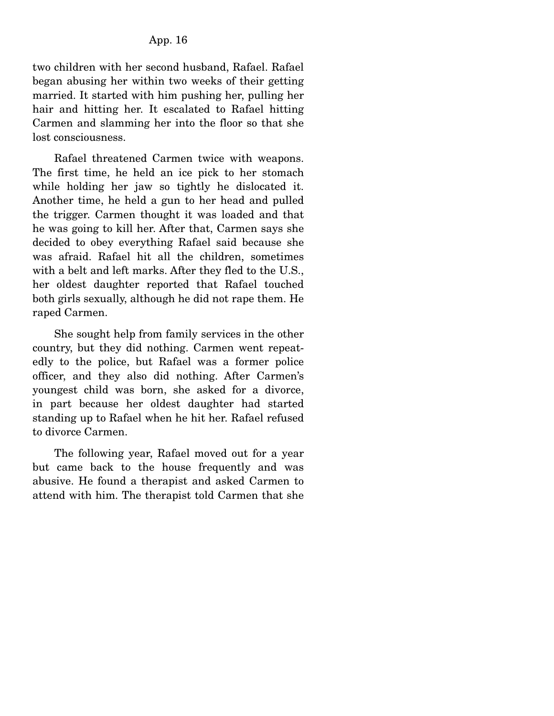two children with her second husband, Rafael. Rafael began abusing her within two weeks of their getting married. It started with him pushing her, pulling her hair and hitting her. It escalated to Rafael hitting Carmen and slamming her into the floor so that she lost consciousness.

 Rafael threatened Carmen twice with weapons. The first time, he held an ice pick to her stomach while holding her jaw so tightly he dislocated it. Another time, he held a gun to her head and pulled the trigger. Carmen thought it was loaded and that he was going to kill her. After that, Carmen says she decided to obey everything Rafael said because she was afraid. Rafael hit all the children, sometimes with a belt and left marks. After they fled to the U.S., her oldest daughter reported that Rafael touched both girls sexually, although he did not rape them. He raped Carmen.

 She sought help from family services in the other country, but they did nothing. Carmen went repeatedly to the police, but Rafael was a former police officer, and they also did nothing. After Carmen's youngest child was born, she asked for a divorce, in part because her oldest daughter had started standing up to Rafael when he hit her. Rafael refused to divorce Carmen.

 The following year, Rafael moved out for a year but came back to the house frequently and was abusive. He found a therapist and asked Carmen to attend with him. The therapist told Carmen that she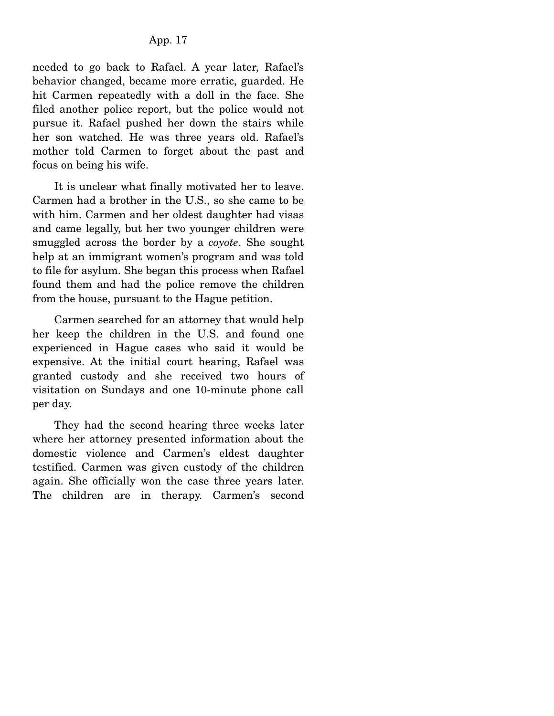needed to go back to Rafael. A year later, Rafael's behavior changed, became more erratic, guarded. He hit Carmen repeatedly with a doll in the face. She filed another police report, but the police would not pursue it. Rafael pushed her down the stairs while her son watched. He was three years old. Rafael's mother told Carmen to forget about the past and focus on being his wife.

 It is unclear what finally motivated her to leave. Carmen had a brother in the U.S., so she came to be with him. Carmen and her oldest daughter had visas and came legally, but her two younger children were smuggled across the border by a *coyote*. She sought help at an immigrant women's program and was told to file for asylum. She began this process when Rafael found them and had the police remove the children from the house, pursuant to the Hague petition.

 Carmen searched for an attorney that would help her keep the children in the U.S. and found one experienced in Hague cases who said it would be expensive. At the initial court hearing, Rafael was granted custody and she received two hours of visitation on Sundays and one 10-minute phone call per day.

 They had the second hearing three weeks later where her attorney presented information about the domestic violence and Carmen's eldest daughter testified. Carmen was given custody of the children again. She officially won the case three years later. The children are in therapy. Carmen's second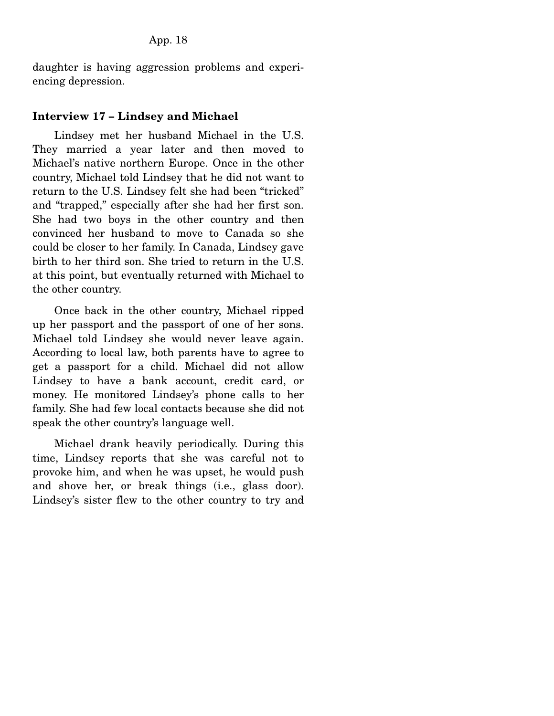daughter is having aggression problems and experiencing depression.

#### **Interview 17 – Lindsey and Michael**

Lindsey met her husband Michael in the U.S. They married a year later and then moved to Michael's native northern Europe. Once in the other country, Michael told Lindsey that he did not want to return to the U.S. Lindsey felt she had been "tricked" and "trapped," especially after she had her first son. She had two boys in the other country and then convinced her husband to move to Canada so she could be closer to her family. In Canada, Lindsey gave birth to her third son. She tried to return in the U.S. at this point, but eventually returned with Michael to the other country.

 Once back in the other country, Michael ripped up her passport and the passport of one of her sons. Michael told Lindsey she would never leave again. According to local law, both parents have to agree to get a passport for a child. Michael did not allow Lindsey to have a bank account, credit card, or money. He monitored Lindsey's phone calls to her family. She had few local contacts because she did not speak the other country's language well.

 Michael drank heavily periodically. During this time, Lindsey reports that she was careful not to provoke him, and when he was upset, he would push and shove her, or break things (i.e., glass door). Lindsey's sister flew to the other country to try and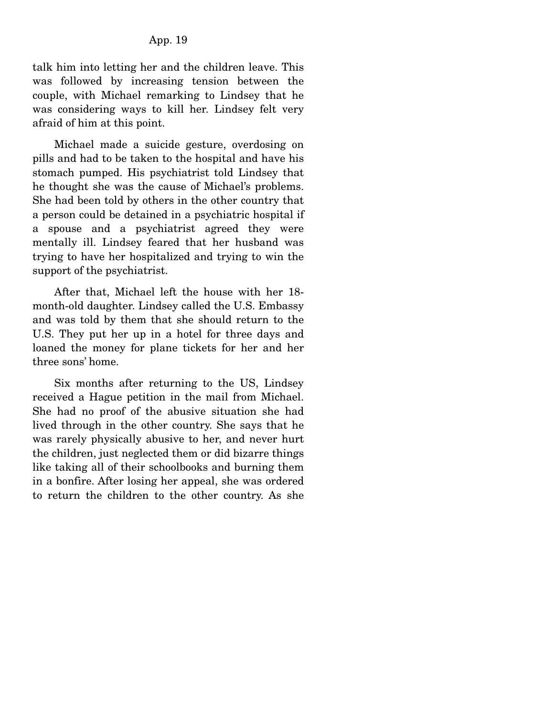talk him into letting her and the children leave. This was followed by increasing tension between the couple, with Michael remarking to Lindsey that he was considering ways to kill her. Lindsey felt very afraid of him at this point.

 Michael made a suicide gesture, overdosing on pills and had to be taken to the hospital and have his stomach pumped. His psychiatrist told Lindsey that he thought she was the cause of Michael's problems. She had been told by others in the other country that a person could be detained in a psychiatric hospital if a spouse and a psychiatrist agreed they were mentally ill. Lindsey feared that her husband was trying to have her hospitalized and trying to win the support of the psychiatrist.

 After that, Michael left the house with her 18 month-old daughter. Lindsey called the U.S. Embassy and was told by them that she should return to the U.S. They put her up in a hotel for three days and loaned the money for plane tickets for her and her three sons' home.

 Six months after returning to the US, Lindsey received a Hague petition in the mail from Michael. She had no proof of the abusive situation she had lived through in the other country. She says that he was rarely physically abusive to her, and never hurt the children, just neglected them or did bizarre things like taking all of their schoolbooks and burning them in a bonfire. After losing her appeal, she was ordered to return the children to the other country. As she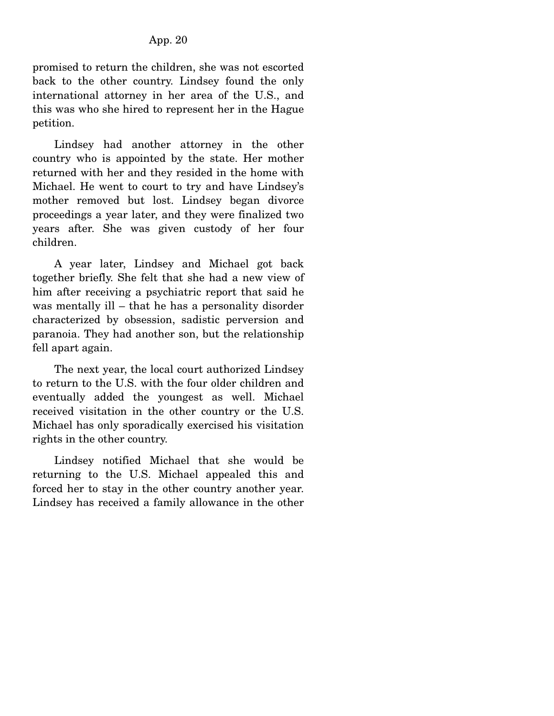promised to return the children, she was not escorted back to the other country. Lindsey found the only international attorney in her area of the U.S., and this was who she hired to represent her in the Hague petition.

 Lindsey had another attorney in the other country who is appointed by the state. Her mother returned with her and they resided in the home with Michael. He went to court to try and have Lindsey's mother removed but lost. Lindsey began divorce proceedings a year later, and they were finalized two years after. She was given custody of her four children.

 A year later, Lindsey and Michael got back together briefly. She felt that she had a new view of him after receiving a psychiatric report that said he was mentally ill – that he has a personality disorder characterized by obsession, sadistic perversion and paranoia. They had another son, but the relationship fell apart again.

 The next year, the local court authorized Lindsey to return to the U.S. with the four older children and eventually added the youngest as well. Michael received visitation in the other country or the U.S. Michael has only sporadically exercised his visitation rights in the other country.

 Lindsey notified Michael that she would be returning to the U.S. Michael appealed this and forced her to stay in the other country another year. Lindsey has received a family allowance in the other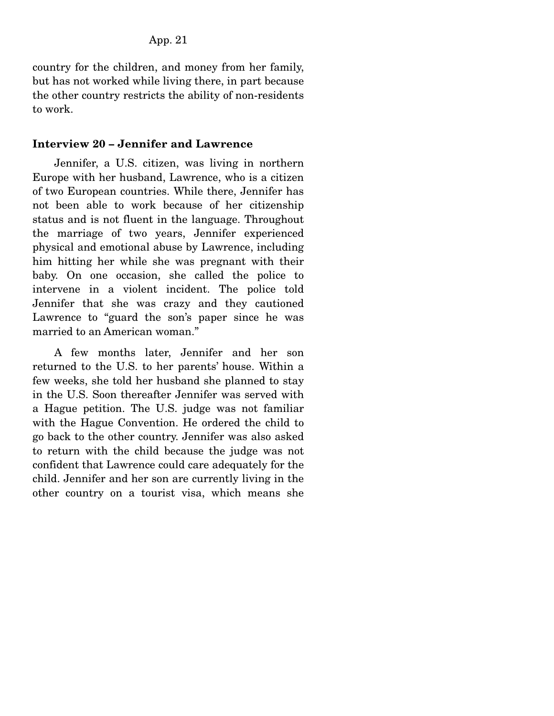country for the children, and money from her family, but has not worked while living there, in part because the other country restricts the ability of non-residents to work.

# **Interview 20 – Jennifer and Lawrence**

Jennifer, a U.S. citizen, was living in northern Europe with her husband, Lawrence, who is a citizen of two European countries. While there, Jennifer has not been able to work because of her citizenship status and is not fluent in the language. Throughout the marriage of two years, Jennifer experienced physical and emotional abuse by Lawrence, including him hitting her while she was pregnant with their baby. On one occasion, she called the police to intervene in a violent incident. The police told Jennifer that she was crazy and they cautioned Lawrence to "guard the son's paper since he was married to an American woman."

 A few months later, Jennifer and her son returned to the U.S. to her parents' house. Within a few weeks, she told her husband she planned to stay in the U.S. Soon thereafter Jennifer was served with a Hague petition. The U.S. judge was not familiar with the Hague Convention. He ordered the child to go back to the other country. Jennifer was also asked to return with the child because the judge was not confident that Lawrence could care adequately for the child. Jennifer and her son are currently living in the other country on a tourist visa, which means she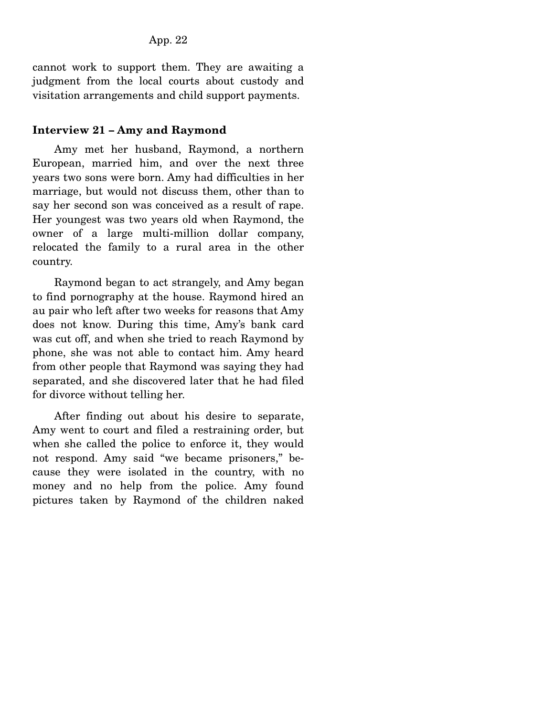cannot work to support them. They are awaiting a judgment from the local courts about custody and visitation arrangements and child support payments.

# **Interview 21 – Amy and Raymond**

Amy met her husband, Raymond, a northern European, married him, and over the next three years two sons were born. Amy had difficulties in her marriage, but would not discuss them, other than to say her second son was conceived as a result of rape. Her youngest was two years old when Raymond, the owner of a large multi-million dollar company, relocated the family to a rural area in the other country.

 Raymond began to act strangely, and Amy began to find pornography at the house. Raymond hired an au pair who left after two weeks for reasons that Amy does not know. During this time, Amy's bank card was cut off, and when she tried to reach Raymond by phone, she was not able to contact him. Amy heard from other people that Raymond was saying they had separated, and she discovered later that he had filed for divorce without telling her.

 After finding out about his desire to separate, Amy went to court and filed a restraining order, but when she called the police to enforce it, they would not respond. Amy said "we became prisoners," because they were isolated in the country, with no money and no help from the police. Amy found pictures taken by Raymond of the children naked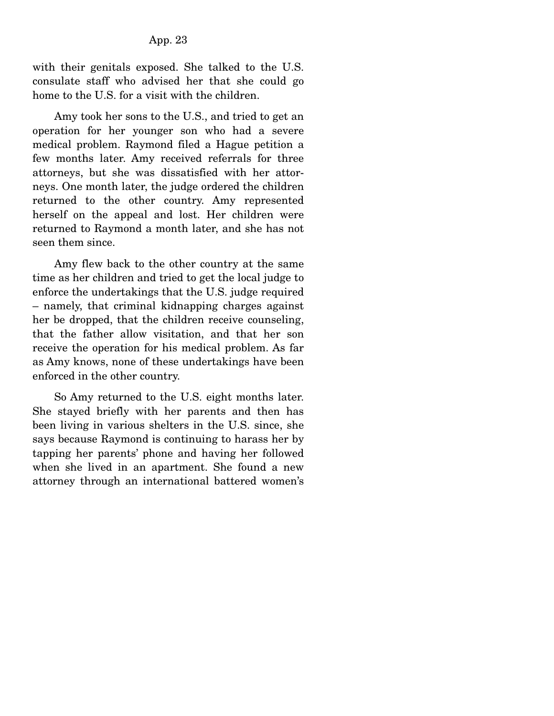with their genitals exposed. She talked to the U.S. consulate staff who advised her that she could go home to the U.S. for a visit with the children.

 Amy took her sons to the U.S., and tried to get an operation for her younger son who had a severe medical problem. Raymond filed a Hague petition a few months later. Amy received referrals for three attorneys, but she was dissatisfied with her attorneys. One month later, the judge ordered the children returned to the other country. Amy represented herself on the appeal and lost. Her children were returned to Raymond a month later, and she has not seen them since.

 Amy flew back to the other country at the same time as her children and tried to get the local judge to enforce the undertakings that the U.S. judge required – namely, that criminal kidnapping charges against her be dropped, that the children receive counseling, that the father allow visitation, and that her son receive the operation for his medical problem. As far as Amy knows, none of these undertakings have been enforced in the other country.

 So Amy returned to the U.S. eight months later. She stayed briefly with her parents and then has been living in various shelters in the U.S. since, she says because Raymond is continuing to harass her by tapping her parents' phone and having her followed when she lived in an apartment. She found a new attorney through an international battered women's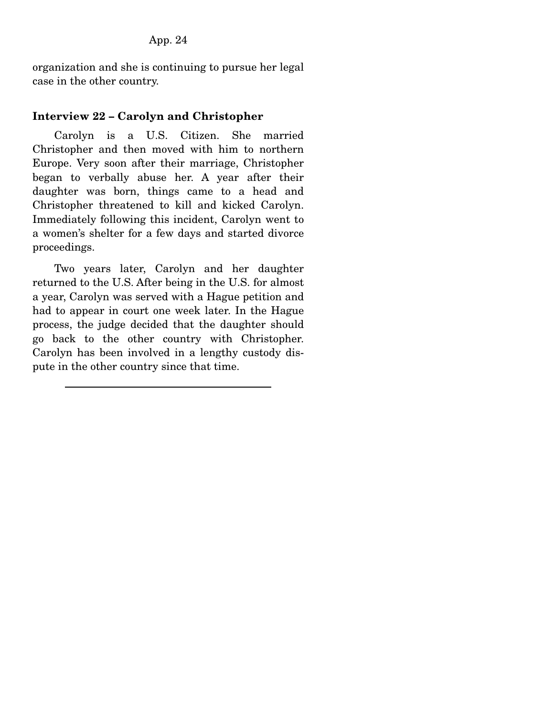organization and she is continuing to pursue her legal case in the other country.

# **Interview 22 – Carolyn and Christopher**

Carolyn is a U.S. Citizen. She married Christopher and then moved with him to northern Europe. Very soon after their marriage, Christopher began to verbally abuse her. A year after their daughter was born, things came to a head and Christopher threatened to kill and kicked Carolyn. Immediately following this incident, Carolyn went to a women's shelter for a few days and started divorce proceedings.

 Two years later, Carolyn and her daughter returned to the U.S. After being in the U.S. for almost a year, Carolyn was served with a Hague petition and had to appear in court one week later. In the Hague process, the judge decided that the daughter should go back to the other country with Christopher. Carolyn has been involved in a lengthy custody dispute in the other country since that time.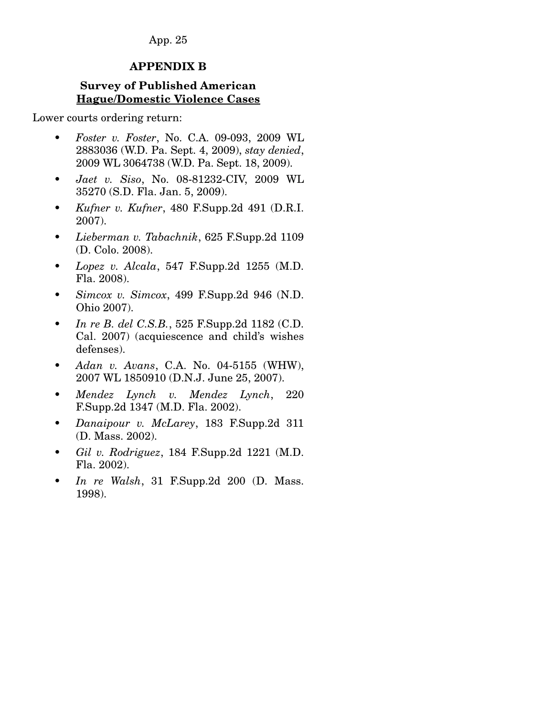#### **APPENDIX B**

# **Survey of Published American Hague/Domestic Violence Cases**

Lower courts ordering return:

- *Foster v. Foster*, No. C.A. 09-093, 2009 WL 2883036 (W.D. Pa. Sept. 4, 2009), *stay denied*, 2009 WL 3064738 (W.D. Pa. Sept. 18, 2009).
- *Jaet v. Siso*, No. 08-81232-CIV, 2009 WL 35270 (S.D. Fla. Jan. 5, 2009).
- *Kufner v. Kufner*, 480 F.Supp.2d 491 (D.R.I. 2007).
- *Lieberman v. Tabachnik*, 625 F.Supp.2d 1109 (D. Colo. 2008).
- *Lopez v. Alcala*, 547 F.Supp.2d 1255 (M.D. Fla. 2008).
- *Simcox v. Simcox*, 499 F.Supp.2d 946 (N.D. Ohio 2007).
- *In re B. del C.S.B.*, 525 F.Supp.2d 1182 (C.D. Cal. 2007) (acquiescence and child's wishes defenses).
- *Adan v. Avans*, C.A. No. 04-5155 (WHW), 2007 WL 1850910 (D.N.J. June 25, 2007).
- *Mendez Lynch v. Mendez Lynch*, 220 F.Supp.2d 1347 (M.D. Fla. 2002).
- *Danaipour v. McLarey*, 183 F.Supp.2d 311 (D. Mass. 2002).
- *Gil v. Rodriguez*, 184 F.Supp.2d 1221 (M.D. Fla. 2002).
- *In re Walsh*, 31 F.Supp.2d 200 (D. Mass. 1998).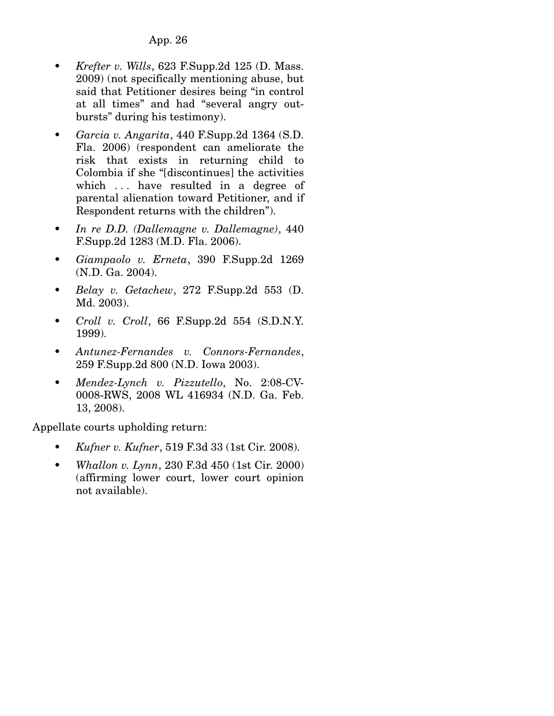- *Krefter v. Wills*, 623 F.Supp.2d 125 (D. Mass. 2009) (not specifically mentioning abuse, but said that Petitioner desires being "in control at all times" and had "several angry outbursts" during his testimony).
- *Garcia v. Angarita*, 440 F.Supp.2d 1364 (S.D. Fla. 2006) (respondent can ameliorate the risk that exists in returning child to Colombia if she "[discontinues] the activities which ... have resulted in a degree of parental alienation toward Petitioner, and if Respondent returns with the children").
- *In re D.D. (Dallemagne v. Dallemagne)*, 440 F.Supp.2d 1283 (M.D. Fla. 2006).
- *Giampaolo v. Erneta*, 390 F.Supp.2d 1269 (N.D. Ga. 2004).
- *Belay v. Getachew*, 272 F.Supp.2d 553 (D. Md. 2003).
- *Croll v. Croll*, 66 F.Supp.2d 554 (S.D.N.Y. 1999).
- *Antunez-Fernandes v. Connors-Fernandes*, 259 F.Supp.2d 800 (N.D. Iowa 2003).
- *Mendez-Lynch v. Pizzutello*, No. 2:08-CV-0008-RWS, 2008 WL 416934 (N.D. Ga. Feb. 13, 2008).

Appellate courts upholding return:

- *Kufner v. Kufner*, 519 F.3d 33 (1st Cir. 2008).
- *Whallon v. Lynn*, 230 F.3d 450 (1st Cir. 2000) (affirming lower court, lower court opinion not available).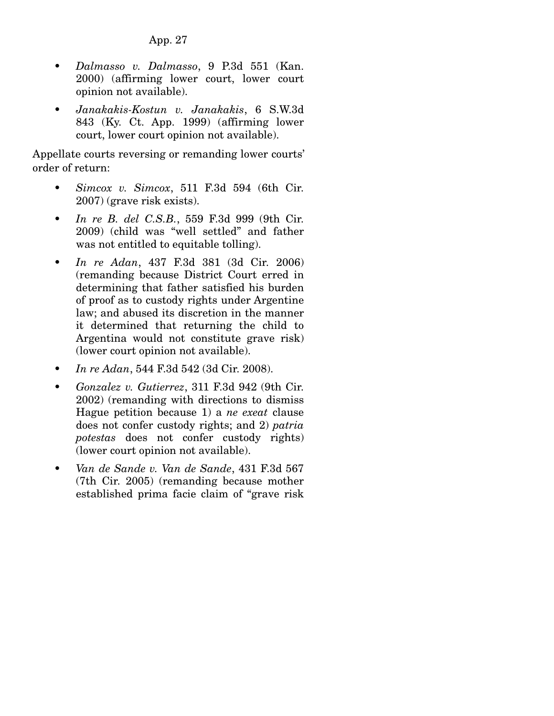- *Dalmasso v. Dalmasso*, 9 P.3d 551 (Kan. 2000) (affirming lower court, lower court opinion not available).
- *Janakakis-Kostun v. Janakakis*, 6 S.W.3d 843 (Ky. Ct. App. 1999) (affirming lower court, lower court opinion not available).

Appellate courts reversing or remanding lower courts' order of return:

- *Simcox v. Simcox*, 511 F.3d 594 (6th Cir. 2007) (grave risk exists).
- *In re B. del C.S.B.*, 559 F.3d 999 (9th Cir. 2009) (child was "well settled" and father was not entitled to equitable tolling).
- *In re Adan*, 437 F.3d 381 (3d Cir. 2006) (remanding because District Court erred in determining that father satisfied his burden of proof as to custody rights under Argentine law; and abused its discretion in the manner it determined that returning the child to Argentina would not constitute grave risk) (lower court opinion not available).
- *In re Adan*, 544 F.3d 542 (3d Cir. 2008).
- *Gonzalez v. Gutierrez*, 311 F.3d 942 (9th Cir. 2002) (remanding with directions to dismiss Hague petition because 1) a *ne exeat* clause does not confer custody rights; and 2) *patria potestas* does not confer custody rights) (lower court opinion not available).
- *Van de Sande v. Van de Sande*, 431 F.3d 567 (7th Cir. 2005) (remanding because mother established prima facie claim of "grave risk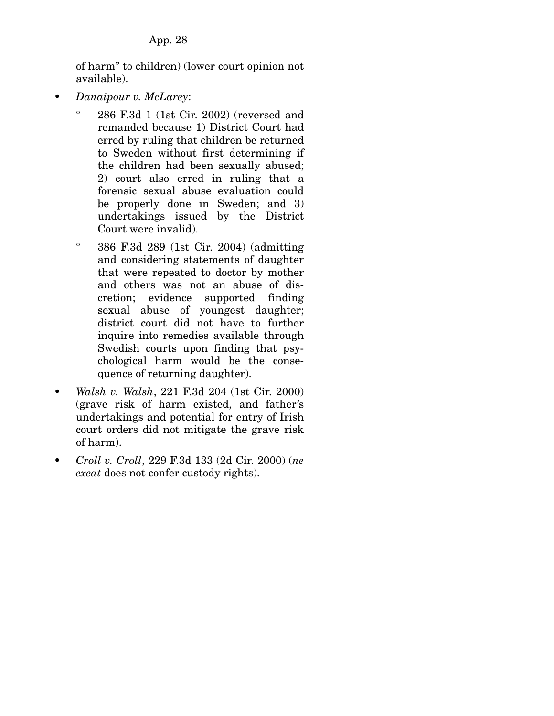of harm" to children) (lower court opinion not available).

- *Danaipour v. McLarey*:
	- ° 286 F.3d 1 (1st Cir. 2002) (reversed and remanded because 1) District Court had erred by ruling that children be returned to Sweden without first determining if the children had been sexually abused; 2) court also erred in ruling that a forensic sexual abuse evaluation could be properly done in Sweden; and 3) undertakings issued by the District Court were invalid).
	- ° 386 F.3d 289 (1st Cir. 2004) (admitting and considering statements of daughter that were repeated to doctor by mother and others was not an abuse of discretion; evidence supported finding sexual abuse of youngest daughter; district court did not have to further inquire into remedies available through Swedish courts upon finding that psychological harm would be the consequence of returning daughter).
- *Walsh v. Walsh*, 221 F.3d 204 (1st Cir. 2000) (grave risk of harm existed, and father's undertakings and potential for entry of Irish court orders did not mitigate the grave risk of harm).
- *Croll v. Croll*, 229 F.3d 133 (2d Cir. 2000) (*ne exeat* does not confer custody rights).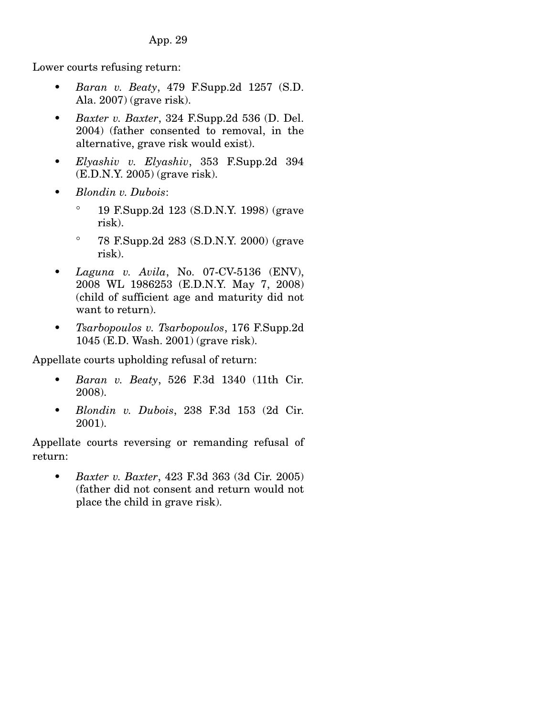Lower courts refusing return:

- *Baran v. Beaty*, 479 F.Supp.2d 1257 (S.D. Ala. 2007) (grave risk).
- *Baxter v. Baxter*, 324 F.Supp.2d 536 (D. Del. 2004) (father consented to removal, in the alternative, grave risk would exist).
- *Elyashiv v. Elyashiv*, 353 F.Supp.2d 394 (E.D.N.Y. 2005) (grave risk).
- *Blondin v. Dubois*:
	- ° 19 F.Supp.2d 123 (S.D.N.Y. 1998) (grave risk).
	- ° 78 F.Supp.2d 283 (S.D.N.Y. 2000) (grave risk).
- *Laguna v. Avila*, No. 07-CV-5136 (ENV), 2008 WL 1986253 (E.D.N.Y. May 7, 2008) (child of sufficient age and maturity did not want to return).
- *Tsarbopoulos v. Tsarbopoulos*, 176 F.Supp.2d 1045 (E.D. Wash. 2001) (grave risk).

Appellate courts upholding refusal of return:

- *Baran v. Beaty*, 526 F.3d 1340 (11th Cir. 2008).
- *Blondin v. Dubois*, 238 F.3d 153 (2d Cir. 2001).

Appellate courts reversing or remanding refusal of return:

*• Baxter v. Baxter*, 423 F.3d 363 (3d Cir. 2005) (father did not consent and return would not place the child in grave risk).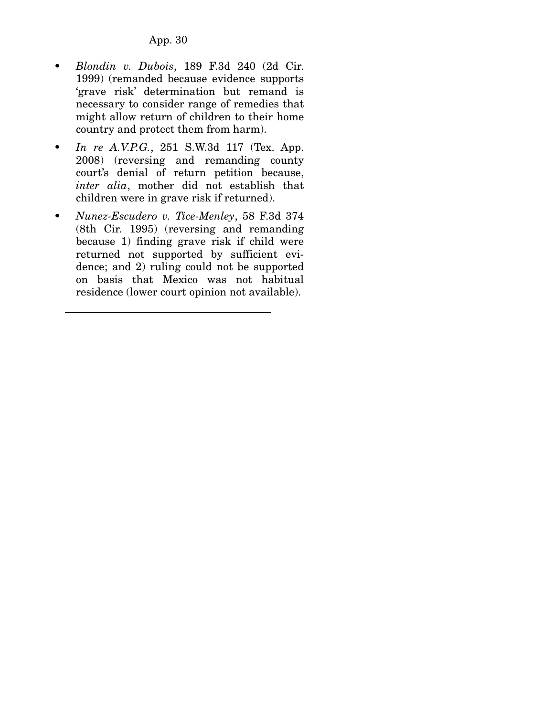- *Blondin v. Dubois*, 189 F.3d 240 (2d Cir. 1999) (remanded because evidence supports 'grave risk' determination but remand is necessary to consider range of remedies that might allow return of children to their home country and protect them from harm).
- *In re A.V.P.G.*, 251 S.W.3d 117 (Tex. App. 2008) (reversing and remanding county court's denial of return petition because, *inter alia*, mother did not establish that children were in grave risk if returned).
- *Nunez-Escudero v. Tice-Menley*, 58 F.3d 374 (8th Cir. 1995) (reversing and remanding because 1) finding grave risk if child were returned not supported by sufficient evidence; and 2) ruling could not be supported on basis that Mexico was not habitual residence (lower court opinion not available).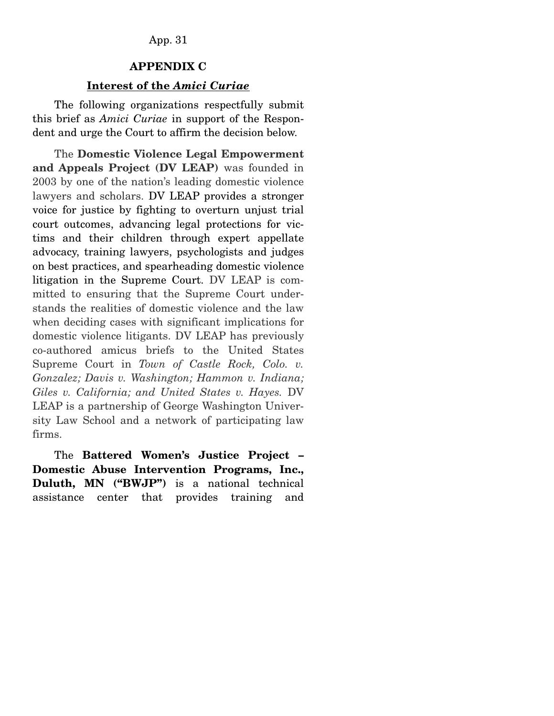#### **APPENDIX C**

#### **Interest of the** *Amici Curiae*

The following organizations respectfully submit this brief as *Amici Curiae* in support of the Respondent and urge the Court to affirm the decision below.

The **Domestic Violence Legal Empowerment and Appeals Project (DV LEAP)** was founded in 2003 by one of the nation's leading domestic violence lawyers and scholars. DV LEAP provides a stronger voice for justice by fighting to overturn unjust trial court outcomes, advancing legal protections for victims and their children through expert appellate advocacy, training lawyers, psychologists and judges on best practices, and spearheading domestic violence litigation in the Supreme Court. DV LEAP is committed to ensuring that the Supreme Court understands the realities of domestic violence and the law when deciding cases with significant implications for domestic violence litigants. DV LEAP has previously co-authored amicus briefs to the United States Supreme Court in *Town of Castle Rock, Colo. v. Gonzalez; Davis v. Washington; Hammon v. Indiana; Giles v. California; and United States v. Hayes.* DV LEAP is a partnership of George Washington University Law School and a network of participating law firms.

 The **Battered Women's Justice Project – Domestic Abuse Intervention Programs, Inc., Duluth, MN ("BWJP")** is a national technical assistance center that provides training and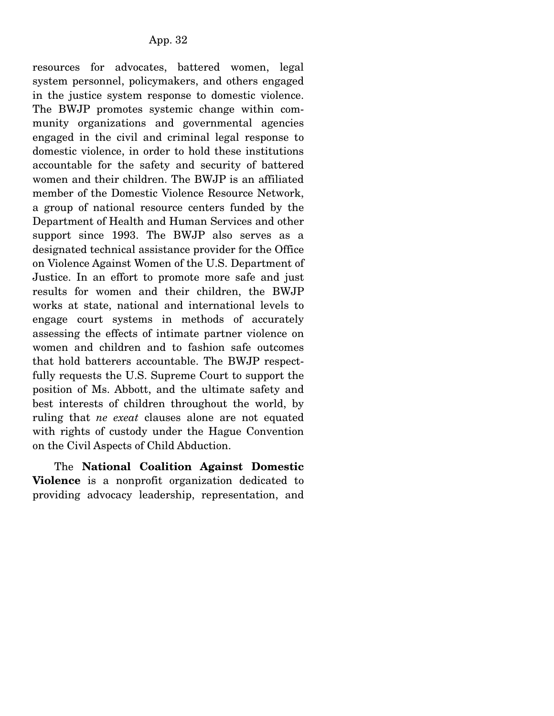resources for advocates, battered women, legal system personnel, policymakers, and others engaged in the justice system response to domestic violence. The BWJP promotes systemic change within community organizations and governmental agencies engaged in the civil and criminal legal response to domestic violence, in order to hold these institutions accountable for the safety and security of battered women and their children. The BWJP is an affiliated member of the Domestic Violence Resource Network, a group of national resource centers funded by the Department of Health and Human Services and other support since 1993. The BWJP also serves as a designated technical assistance provider for the Office on Violence Against Women of the U.S. Department of Justice. In an effort to promote more safe and just results for women and their children, the BWJP works at state, national and international levels to engage court systems in methods of accurately assessing the effects of intimate partner violence on women and children and to fashion safe outcomes that hold batterers accountable. The BWJP respectfully requests the U.S. Supreme Court to support the position of Ms. Abbott, and the ultimate safety and best interests of children throughout the world, by ruling that *ne exeat* clauses alone are not equated with rights of custody under the Hague Convention on the Civil Aspects of Child Abduction.

 The **National Coalition Against Domestic Violence** is a nonprofit organization dedicated to providing advocacy leadership, representation, and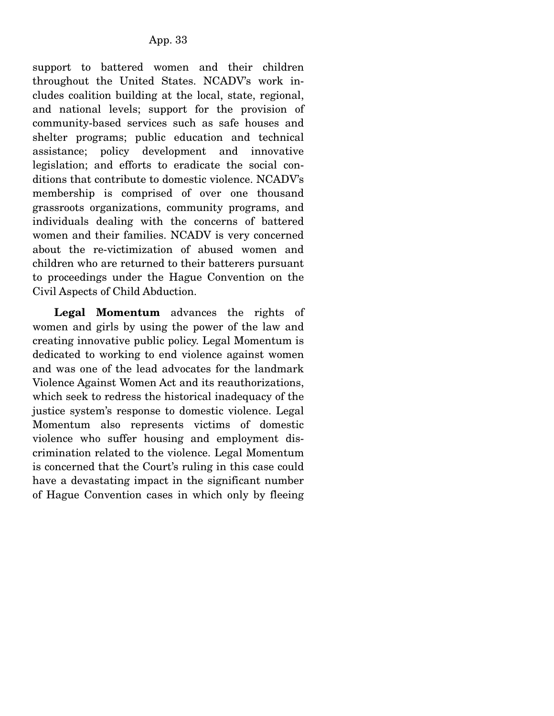support to battered women and their children throughout the United States. NCADV's work includes coalition building at the local, state, regional, and national levels; support for the provision of community-based services such as safe houses and shelter programs; public education and technical assistance; policy development and innovative legislation; and efforts to eradicate the social conditions that contribute to domestic violence. NCADV's membership is comprised of over one thousand grassroots organizations, community programs, and individuals dealing with the concerns of battered women and their families. NCADV is very concerned about the re-victimization of abused women and children who are returned to their batterers pursuant to proceedings under the Hague Convention on the Civil Aspects of Child Abduction.

**Legal Momentum** advances the rights of women and girls by using the power of the law and creating innovative public policy. Legal Momentum is dedicated to working to end violence against women and was one of the lead advocates for the landmark Violence Against Women Act and its reauthorizations, which seek to redress the historical inadequacy of the justice system's response to domestic violence. Legal Momentum also represents victims of domestic violence who suffer housing and employment discrimination related to the violence. Legal Momentum is concerned that the Court's ruling in this case could have a devastating impact in the significant number of Hague Convention cases in which only by fleeing